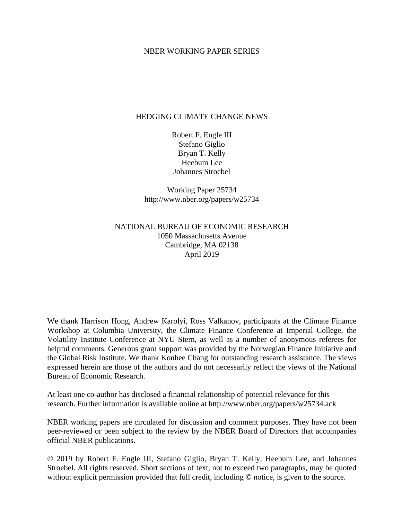#### NBER WORKING PAPER SERIES

#### HEDGING CLIMATE CHANGE NEWS

Robert F. Engle III Stefano Giglio Bryan T. Kelly Heebum Lee Johannes Stroebel

Working Paper 25734 http://www.nber.org/papers/w25734

#### NATIONAL BUREAU OF ECONOMIC RESEARCH 1050 Massachusetts Avenue Cambridge, MA 02138 April 2019

We thank Harrison Hong, Andrew Karolyi, Ross Valkanov, participants at the Climate Finance Workshop at Columbia University, the Climate Finance Conference at Imperial College, the Volatility Institute Conference at NYU Stern, as well as a number of anonymous referees for helpful comments. Generous grant support was provided by the Norwegian Finance Initiative and the Global Risk Institute. We thank Konhee Chang for outstanding research assistance. The views expressed herein are those of the authors and do not necessarily reflect the views of the National Bureau of Economic Research.

At least one co-author has disclosed a financial relationship of potential relevance for this research. Further information is available online at http://www.nber.org/papers/w25734.ack

NBER working papers are circulated for discussion and comment purposes. They have not been peer-reviewed or been subject to the review by the NBER Board of Directors that accompanies official NBER publications.

© 2019 by Robert F. Engle III, Stefano Giglio, Bryan T. Kelly, Heebum Lee, and Johannes Stroebel. All rights reserved. Short sections of text, not to exceed two paragraphs, may be quoted without explicit permission provided that full credit, including  $\odot$  notice, is given to the source.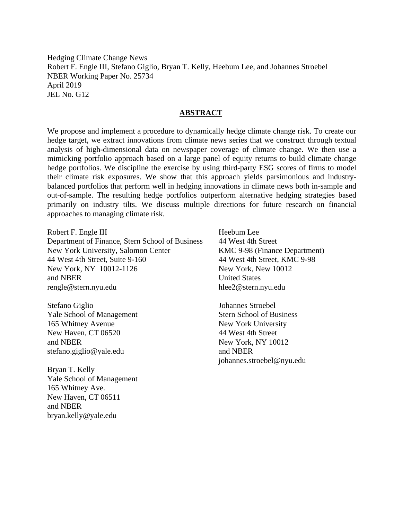Hedging Climate Change News Robert F. Engle III, Stefano Giglio, Bryan T. Kelly, Heebum Lee, and Johannes Stroebel NBER Working Paper No. 25734 April 2019 JEL No. G12

#### **ABSTRACT**

We propose and implement a procedure to dynamically hedge climate change risk. To create our hedge target, we extract innovations from climate news series that we construct through textual analysis of high-dimensional data on newspaper coverage of climate change. We then use a mimicking portfolio approach based on a large panel of equity returns to build climate change hedge portfolios. We discipline the exercise by using third-party ESG scores of firms to model their climate risk exposures. We show that this approach yields parsimonious and industrybalanced portfolios that perform well in hedging innovations in climate news both in-sample and out-of-sample. The resulting hedge portfolios outperform alternative hedging strategies based primarily on industry tilts. We discuss multiple directions for future research on financial approaches to managing climate risk.

Robert F. Engle III Department of Finance, Stern School of Business New York University, Salomon Center 44 West 4th Street, Suite 9-160 New York, NY 10012-1126 and NBER rengle@stern.nyu.edu

Stefano Giglio Yale School of Management 165 Whitney Avenue New Haven, CT 06520 and NBER stefano.giglio@yale.edu

Bryan T. Kelly Yale School of Management 165 Whitney Ave. New Haven, CT 06511 and NBER bryan.kelly@yale.edu

Heebum Lee 44 West 4th Street KMC 9-98 (Finance Department) 44 West 4th Street, KMC 9-98 New York, New 10012 United States hlee2@stern.nyu.edu

Johannes Stroebel Stern School of Business New York University 44 West 4th Street New York, NY 10012 and NBER johannes.stroebel@nyu.edu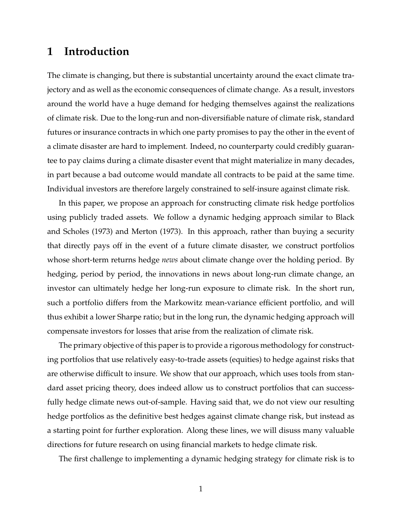# **1 Introduction**

The climate is changing, but there is substantial uncertainty around the exact climate trajectory and as well as the economic consequences of climate change. As a result, investors around the world have a huge demand for hedging themselves against the realizations of climate risk. Due to the long-run and non-diversifiable nature of climate risk, standard futures or insurance contracts in which one party promises to pay the other in the event of a climate disaster are hard to implement. Indeed, no counterparty could credibly guarantee to pay claims during a climate disaster event that might materialize in many decades, in part because a bad outcome would mandate all contracts to be paid at the same time. Individual investors are therefore largely constrained to self-insure against climate risk.

In this paper, we propose an approach for constructing climate risk hedge portfolios using publicly traded assets. We follow a dynamic hedging approach similar to [Black](#page-38-0) [and Scholes](#page-38-0) [\(1973\)](#page-38-0) and [Merton](#page-39-0) [\(1973\)](#page-39-0). In this approach, rather than buying a security that directly pays off in the event of a future climate disaster, we construct portfolios whose short-term returns hedge *news* about climate change over the holding period. By hedging, period by period, the innovations in news about long-run climate change, an investor can ultimately hedge her long-run exposure to climate risk. In the short run, such a portfolio differs from the Markowitz mean-variance efficient portfolio, and will thus exhibit a lower Sharpe ratio; but in the long run, the dynamic hedging approach will compensate investors for losses that arise from the realization of climate risk.

The primary objective of this paper is to provide a rigorous methodology for constructing portfolios that use relatively easy-to-trade assets (equities) to hedge against risks that are otherwise difficult to insure. We show that our approach, which uses tools from standard asset pricing theory, does indeed allow us to construct portfolios that can successfully hedge climate news out-of-sample. Having said that, we do not view our resulting hedge portfolios as the definitive best hedges against climate change risk, but instead as a starting point for further exploration. Along these lines, we will disuss many valuable directions for future research on using financial markets to hedge climate risk.

The first challenge to implementing a dynamic hedging strategy for climate risk is to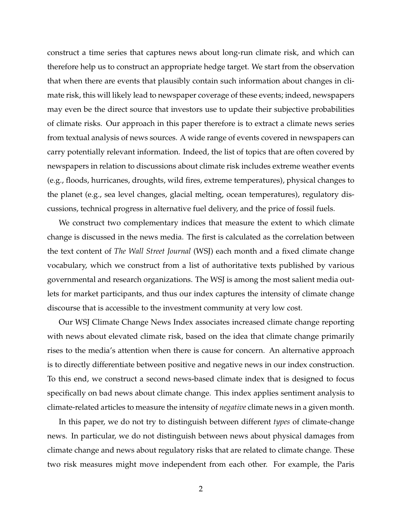construct a time series that captures news about long-run climate risk, and which can therefore help us to construct an appropriate hedge target. We start from the observation that when there are events that plausibly contain such information about changes in climate risk, this will likely lead to newspaper coverage of these events; indeed, newspapers may even be the direct source that investors use to update their subjective probabilities of climate risks. Our approach in this paper therefore is to extract a climate news series from textual analysis of news sources. A wide range of events covered in newspapers can carry potentially relevant information. Indeed, the list of topics that are often covered by newspapers in relation to discussions about climate risk includes extreme weather events (e.g., floods, hurricanes, droughts, wild fires, extreme temperatures), physical changes to the planet (e.g., sea level changes, glacial melting, ocean temperatures), regulatory discussions, technical progress in alternative fuel delivery, and the price of fossil fuels.

We construct two complementary indices that measure the extent to which climate change is discussed in the news media. The first is calculated as the correlation between the text content of *The Wall Street Journal* (WSJ) each month and a fixed climate change vocabulary, which we construct from a list of authoritative texts published by various governmental and research organizations. The WSJ is among the most salient media outlets for market participants, and thus our index captures the intensity of climate change discourse that is accessible to the investment community at very low cost.

Our WSJ Climate Change News Index associates increased climate change reporting with news about elevated climate risk, based on the idea that climate change primarily rises to the media's attention when there is cause for concern. An alternative approach is to directly differentiate between positive and negative news in our index construction. To this end, we construct a second news-based climate index that is designed to focus specifically on bad news about climate change. This index applies sentiment analysis to climate-related articles to measure the intensity of *negative* climate news in a given month.

In this paper, we do not try to distinguish between different *types* of climate-change news. In particular, we do not distinguish between news about physical damages from climate change and news about regulatory risks that are related to climate change. These two risk measures might move independent from each other. For example, the Paris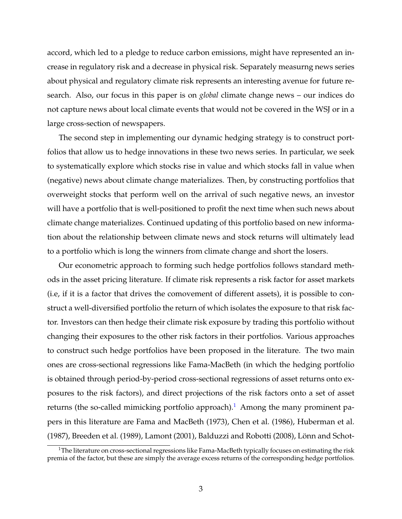accord, which led to a pledge to reduce carbon emissions, might have represented an increase in regulatory risk and a decrease in physical risk. Separately measurng news series about physical and regulatory climate risk represents an interesting avenue for future research. Also, our focus in this paper is on *global* climate change news – our indices do not capture news about local climate events that would not be covered in the WSJ or in a large cross-section of newspapers.

The second step in implementing our dynamic hedging strategy is to construct portfolios that allow us to hedge innovations in these two news series. In particular, we seek to systematically explore which stocks rise in value and which stocks fall in value when (negative) news about climate change materializes. Then, by constructing portfolios that overweight stocks that perform well on the arrival of such negative news, an investor will have a portfolio that is well-positioned to profit the next time when such news about climate change materializes. Continued updating of this portfolio based on new information about the relationship between climate news and stock returns will ultimately lead to a portfolio which is long the winners from climate change and short the losers.

Our econometric approach to forming such hedge portfolios follows standard methods in the asset pricing literature. If climate risk represents a risk factor for asset markets (i.e, if it is a factor that drives the comovement of different assets), it is possible to construct a well-diversified portfolio the return of which isolates the exposure to that risk factor. Investors can then hedge their climate risk exposure by trading this portfolio without changing their exposures to the other risk factors in their portfolios. Various approaches to construct such hedge portfolios have been proposed in the literature. The two main ones are cross-sectional regressions like Fama-MacBeth (in which the hedging portfolio is obtained through period-by-period cross-sectional regressions of asset returns onto exposures to the risk factors), and direct projections of the risk factors onto a set of asset returns (the so-called mimicking portfolio approach).<sup>[1](#page-4-0)</sup> Among the many prominent papers in this literature are [Fama and MacBeth](#page-39-1) [\(1973\)](#page-39-1), [Chen et al.](#page-38-1) [\(1986\)](#page-38-1), [Huberman et al.](#page-39-2) [\(1987\)](#page-39-2), [Breeden et al.](#page-38-2) [\(1989\)](#page-38-2), [Lamont](#page-39-3) [\(2001\)](#page-39-3), [Balduzzi and Robotti](#page-38-3) [\(2008\)](#page-38-3), [Lönn and Schot-](#page-39-4)

<span id="page-4-0"></span><sup>&</sup>lt;sup>1</sup>[The literature on cross-sectional regressions like Fama-MacBeth typically focuses on estimating the risk](#page-39-4) [premia of the factor, but these are simply the average excess returns of the corresponding hedge portfolios.](#page-39-4)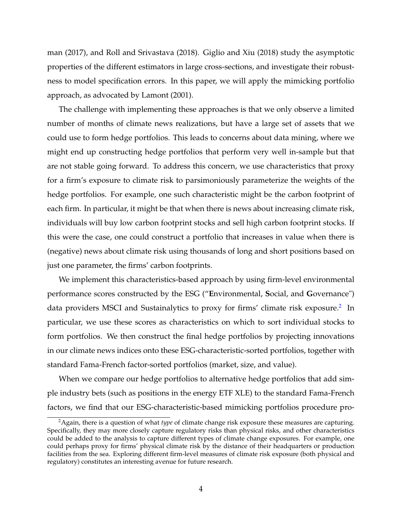[man](#page-39-4) [\(2017\)](#page-39-4), and [Roll and Srivastava](#page-40-0) [\(2018\)](#page-40-0). [Giglio and Xiu](#page-39-5) [\(2018\)](#page-39-5) study the asymptotic properties of the different estimators in large cross-sections, and investigate their robustness to model specification errors. In this paper, we will apply the mimicking portfolio approach, as advocated by [Lamont](#page-39-3) [\(2001\)](#page-39-3).

The challenge with implementing these approaches is that we only observe a limited number of months of climate news realizations, but have a large set of assets that we could use to form hedge portfolios. This leads to concerns about data mining, where we might end up constructing hedge portfolios that perform very well in-sample but that are not stable going forward. To address this concern, we use characteristics that proxy for a firm's exposure to climate risk to parsimoniously parameterize the weights of the hedge portfolios. For example, one such characteristic might be the carbon footprint of each firm. In particular, it might be that when there is news about increasing climate risk, individuals will buy low carbon footprint stocks and sell high carbon footprint stocks. If this were the case, one could construct a portfolio that increases in value when there is (negative) news about climate risk using thousands of long and short positions based on just one parameter, the firms' carbon footprints.

We implement this characteristics-based approach by using firm-level environmental performance scores constructed by the ESG ("**E**nvironmental, **S**ocial, and **G**overnance") data providers MSCI and Sustainalytics to proxy for firms' climate risk exposure.<sup>[2](#page-5-0)</sup> In particular, we use these scores as characteristics on which to sort individual stocks to form portfolios. We then construct the final hedge portfolios by projecting innovations in our climate news indices onto these ESG-characteristic-sorted portfolios, together with standard Fama-French factor-sorted portfolios (market, size, and value).

When we compare our hedge portfolios to alternative hedge portfolios that add simple industry bets (such as positions in the energy ETF XLE) to the standard Fama-French factors, we find that our ESG-characteristic-based mimicking portfolios procedure pro-

<span id="page-5-0"></span><sup>2</sup>Again, there is a question of what *type* of climate change risk exposure these measures are capturing. Specifically, they may more closely capture regulatory risks than physical risks, and other characteristics could be added to the analysis to capture different types of climate change exposures. For example, one could perhaps proxy for firms' physical climate risk by the distance of their headquarters or production facilities from the sea. Exploring different firm-level measures of climate risk exposure (both physical and regulatory) constitutes an interesting avenue for future research.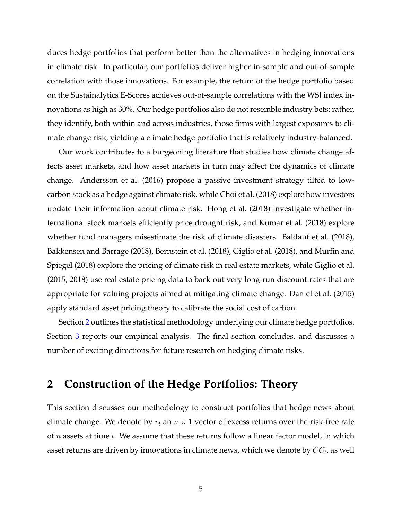duces hedge portfolios that perform better than the alternatives in hedging innovations in climate risk. In particular, our portfolios deliver higher in-sample and out-of-sample correlation with those innovations. For example, the return of the hedge portfolio based on the Sustainalytics E-Scores achieves out-of-sample correlations with the WSJ index innovations as high as 30%. Our hedge portfolios also do not resemble industry bets; rather, they identify, both within and across industries, those firms with largest exposures to climate change risk, yielding a climate hedge portfolio that is relatively industry-balanced.

Our work contributes to a burgeoning literature that studies how climate change affects asset markets, and how asset markets in turn may affect the dynamics of climate change. [Andersson et al.](#page-38-4) [\(2016\)](#page-38-4) propose a passive investment strategy tilted to lowcarbon stock as a hedge against climate risk, while [Choi et al.](#page-38-5) [\(2018\)](#page-38-5) explore how investors update their information about climate risk. [Hong et al.](#page-39-6) [\(2018\)](#page-39-6) investigate whether international stock markets efficiently price drought risk, and [Kumar et al.](#page-39-7) [\(2018\)](#page-39-7) explore whether fund managers misestimate the risk of climate disasters. [Baldauf et al.](#page-38-6) [\(2018\)](#page-38-6), [Bakkensen and Barrage](#page-38-7) [\(2018\)](#page-38-7), [Bernstein et al.](#page-38-8) [\(2018\)](#page-38-8), [Giglio et al.](#page-39-8) [\(2018\)](#page-39-8), and [Murfin and](#page-39-9) [Spiegel](#page-39-9) [\(2018\)](#page-39-9) explore the pricing of climate risk in real estate markets, while [Giglio et al.](#page-39-10) [\(2015,](#page-39-10) [2018\)](#page-39-8) use real estate pricing data to back out very long-run discount rates that are appropriate for valuing projects aimed at mitigating climate change. [Daniel et al.](#page-38-9) [\(2015\)](#page-38-9) apply standard asset pricing theory to calibrate the social cost of carbon.

Section [2](#page-6-0) outlines the statistical methodology underlying our climate hedge portfolios. Section [3](#page-9-0) reports our empirical analysis. The final section concludes, and discusses a number of exciting directions for future research on hedging climate risks.

# <span id="page-6-0"></span>**2 Construction of the Hedge Portfolios: Theory**

This section discusses our methodology to construct portfolios that hedge news about climate change. We denote by  $r_t$  an  $n \times 1$  vector of excess returns over the risk-free rate of  $n$  assets at time  $t$ . We assume that these returns follow a linear factor model, in which asset returns are driven by innovations in climate news, which we denote by  $\mathit{CC}_t$ , as well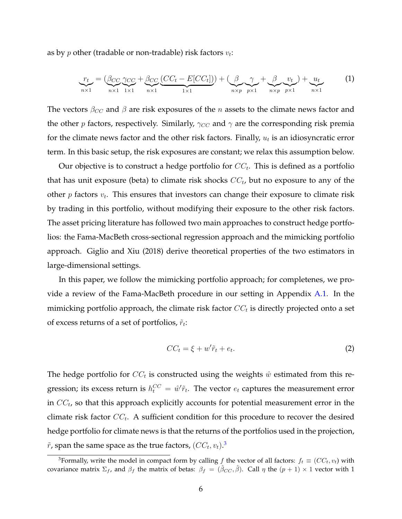as by  $p$  other (tradable or non-tradable) risk factors  $v_t$ :

<span id="page-7-1"></span>
$$
\underbrace{r_t}_{n\times 1} = \underbrace{(\beta_{CC} \gamma_{CC} + \beta_{CC} \underbrace{(CC_t - E[CC_t])}_{1\times 1}) + (\underbrace{\beta}_{n\times p} \underbrace{\gamma}_{p\times 1} + \underbrace{\beta}_{n\times p} \underbrace{v_t}_{p\times 1}) + \underbrace{u_t}_{n\times 1} \tag{1}
$$

The vectors  $\beta_{CC}$  and  $\beta$  are risk exposures of the n assets to the climate news factor and the other p factors, respectively. Similarly,  $\gamma_{CC}$  and  $\gamma$  are the corresponding risk premia for the climate news factor and the other risk factors. Finally,  $u_t$  is an idiosyncratic error term. In this basic setup, the risk exposures are constant; we relax this assumption below.

Our objective is to construct a hedge portfolio for  $CC_t$ . This is defined as a portfolio that has unit exposure (beta) to climate risk shocks  $\mathit{CC}_t$ , but no exposure to any of the other  $p$  factors  $v_t$ . This ensures that investors can change their exposure to climate risk by trading in this portfolio, without modifying their exposure to the other risk factors. The asset pricing literature has followed two main approaches to construct hedge portfolios: the Fama-MacBeth cross-sectional regression approach and the mimicking portfolio approach. [Giglio and Xiu](#page-39-5) [\(2018\)](#page-39-5) derive theoretical properties of the two estimators in large-dimensional settings.

In this paper, we follow the mimicking portfolio approach; for completenes, we provide a review of the Fama-MacBeth procedure in our setting in Appendix [A.1.](#page-41-0) In the mimicking portfolio approach, the climate risk factor  $\mathit{CC}_t$  is directly projected onto a set of excess returns of a set of portfolios,  $\tilde{r}_t$ :

<span id="page-7-2"></span>
$$
CC_t = \xi + w'\tilde{r}_t + e_t.
$$
 (2)

The hedge portfolio for  $CC_t$  is constructed using the weights  $\hat{w}$  estimated from this regression; its excess return is  $h_t^{CC} = \hat{w}'\tilde{r}_t$ . The vector  $e_t$  captures the measurement error in  $\mathit{CC}_t$ , so that this approach explicitly accounts for potential measurement error in the climate risk factor  $CC_t$ . A sufficient condition for this procedure to recover the desired hedge portfolio for climate news is that the returns of the portfolios used in the projection,  $\tilde{r}$ , span the same space as the true factors,  $(CC_t, v_t).^3$  $(CC_t, v_t).^3$ 

<span id="page-7-0"></span><sup>&</sup>lt;sup>3</sup>Formally, write the model in compact form by calling f the vector of all factors:  $f_t \equiv (CC_t, v_t)$  with covariance matrix  $\Sigma_f$ , and  $\beta_f$  the matrix of betas:  $\beta_f = (\hat{\beta}_{CC}, \hat{\beta})$ . Call  $\eta$  the  $(p + 1) \times 1$  vector with 1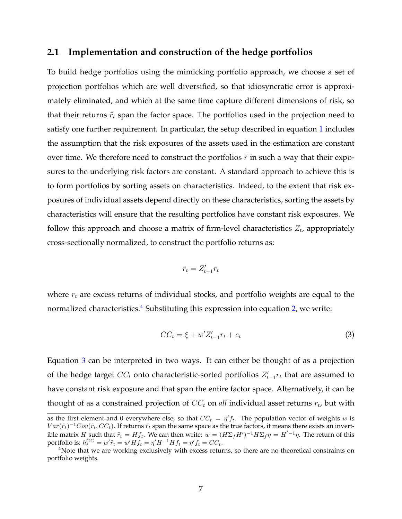## <span id="page-8-2"></span>**2.1 Implementation and construction of the hedge portfolios**

To build hedge portfolios using the mimicking portfolio approach, we choose a set of projection portfolios which are well diversified, so that idiosyncratic error is approximately eliminated, and which at the same time capture different dimensions of risk, so that their returns  $\tilde{r}_t$  span the factor space. The portfolios used in the projection need to satisfy one further requirement. In particular, the setup described in equation [1](#page-7-1) includes the assumption that the risk exposures of the assets used in the estimation are constant over time. We therefore need to construct the portfolios  $\tilde{r}$  in such a way that their exposures to the underlying risk factors are constant. A standard approach to achieve this is to form portfolios by sorting assets on characteristics. Indeed, to the extent that risk exposures of individual assets depend directly on these characteristics, sorting the assets by characteristics will ensure that the resulting portfolios have constant risk exposures. We follow this approach and choose a matrix of firm-level characteristics  $Z_t$ , appropriately cross-sectionally normalized, to construct the portfolio returns as:

$$
\tilde{r}_t = Z'_{t-1} r_t
$$

where  $r_t$  are excess returns of individual stocks, and portfolio weights are equal to the normalized characteristics. $4$  Substituting this expression into equation [2,](#page-7-2) we write:

<span id="page-8-1"></span>
$$
CC_t = \xi + w' Z'_{t-1} r_t + e_t \tag{3}
$$

Equation [3](#page-8-1) can be interpreted in two ways. It can either be thought of as a projection of the hedge target  $\mathit{CC}_t$  onto characteristic-sorted portfolios  $Z'_{t-1}r_t$  that are assumed to have constant risk exposure and that span the entire factor space. Alternatively, it can be thought of as a constrained projection of  $CC_t$  on *all* individual asset returns  $r_t$ , but with

as the first element and 0 everywhere else, so that  $CC_t = \eta' f_t$ . The population vector of weights w is  $Var(\tilde{r}_t)^{-1}Cov(\tilde{r}_t,CC_t)$ . If returns  $\tilde{r}_t$  span the same space as the true factors, it means there exists an invertible matrix H such that  $\tilde{r}_t = H f_t$ . We can then write:  $w = (H \Sigma_f H')^{-1} H \Sigma_f \eta = H^{-1} \eta$ . The return of this portfolio is:  $h_t^{CC} = w'\tilde{r}_t = w'Hf_t = \eta'H^{-1}Hf_t = \eta'f_t = CC_t.$ 

<span id="page-8-0"></span><sup>&</sup>lt;sup>4</sup>Note that we are working exclusively with excess returns, so there are no theoretical constraints on portfolio weights.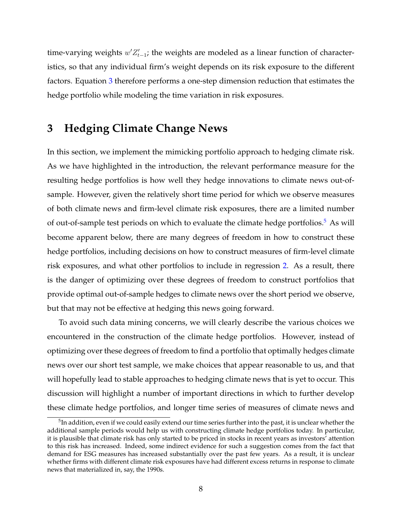time-varying weights  $w'Z'_{t-1}$ ; the weights are modeled as a linear function of characteristics, so that any individual firm's weight depends on its risk exposure to the different factors. Equation [3](#page-8-1) therefore performs a one-step dimension reduction that estimates the hedge portfolio while modeling the time variation in risk exposures.

# <span id="page-9-0"></span>**3 Hedging Climate Change News**

In this section, we implement the mimicking portfolio approach to hedging climate risk. As we have highlighted in the introduction, the relevant performance measure for the resulting hedge portfolios is how well they hedge innovations to climate news out-ofsample. However, given the relatively short time period for which we observe measures of both climate news and firm-level climate risk exposures, there are a limited number of out-of-sample test periods on which to evaluate the climate hedge portfolios.<sup>[5](#page-9-1)</sup> As will become apparent below, there are many degrees of freedom in how to construct these hedge portfolios, including decisions on how to construct measures of firm-level climate risk exposures, and what other portfolios to include in regression [2.](#page-7-2) As a result, there is the danger of optimizing over these degrees of freedom to construct portfolios that provide optimal out-of-sample hedges to climate news over the short period we observe, but that may not be effective at hedging this news going forward.

To avoid such data mining concerns, we will clearly describe the various choices we encountered in the construction of the climate hedge portfolios. However, instead of optimizing over these degrees of freedom to find a portfolio that optimally hedges climate news over our short test sample, we make choices that appear reasonable to us, and that will hopefully lead to stable approaches to hedging climate news that is yet to occur. This discussion will highlight a number of important directions in which to further develop these climate hedge portfolios, and longer time series of measures of climate news and

<span id="page-9-1"></span> $^5$ In addition, even if we could easily extend our time series further into the past, it is unclear whether the additional sample periods would help us with constructing climate hedge portfolios today. In particular, it is plausible that climate risk has only started to be priced in stocks in recent years as investors' attention to this risk has increased. Indeed, some indirect evidence for such a suggestion comes from the fact that demand for ESG measures has increased substantially over the past few years. As a result, it is unclear whether firms with different climate risk exposures have had different excess returns in response to climate news that materialized in, say, the 1990s.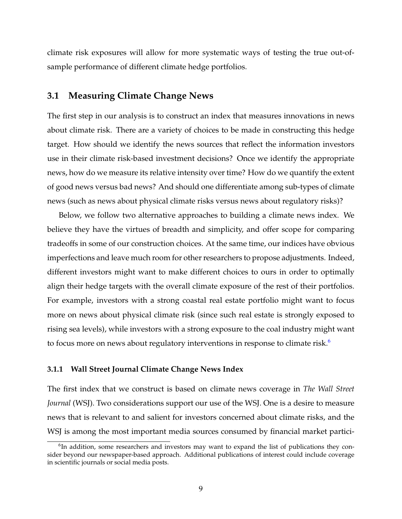climate risk exposures will allow for more systematic ways of testing the true out-ofsample performance of different climate hedge portfolios.

## <span id="page-10-1"></span>**3.1 Measuring Climate Change News**

The first step in our analysis is to construct an index that measures innovations in news about climate risk. There are a variety of choices to be made in constructing this hedge target. How should we identify the news sources that reflect the information investors use in their climate risk-based investment decisions? Once we identify the appropriate news, how do we measure its relative intensity over time? How do we quantify the extent of good news versus bad news? And should one differentiate among sub-types of climate news (such as news about physical climate risks versus news about regulatory risks)?

Below, we follow two alternative approaches to building a climate news index. We believe they have the virtues of breadth and simplicity, and offer scope for comparing tradeoffs in some of our construction choices. At the same time, our indices have obvious imperfections and leave much room for other researchers to propose adjustments. Indeed, different investors might want to make different choices to ours in order to optimally align their hedge targets with the overall climate exposure of the rest of their portfolios. For example, investors with a strong coastal real estate portfolio might want to focus more on news about physical climate risk (since such real estate is strongly exposed to rising sea levels), while investors with a strong exposure to the coal industry might want to focus more on news about regulatory interventions in response to climate risk.<sup>[6](#page-10-0)</sup>

#### **3.1.1 Wall Street Journal Climate Change News Index**

The first index that we construct is based on climate news coverage in *The Wall Street Journal* (WSJ). Two considerations support our use of the WSJ. One is a desire to measure news that is relevant to and salient for investors concerned about climate risks, and the WSJ is among the most important media sources consumed by financial market partici-

<span id="page-10-0"></span><sup>&</sup>lt;sup>6</sup>In addition, some researchers and investors may want to expand the list of publications they consider beyond our newspaper-based approach. Additional publications of interest could include coverage in scientific journals or social media posts.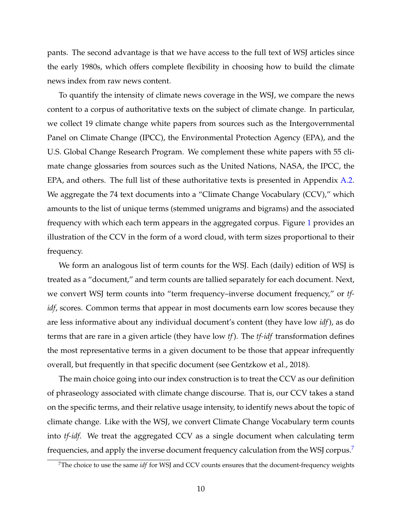pants. The second advantage is that we have access to the full text of WSJ articles since the early 1980s, which offers complete flexibility in choosing how to build the climate news index from raw news content.

To quantify the intensity of climate news coverage in the WSJ, we compare the news content to a corpus of authoritative texts on the subject of climate change. In particular, we collect 19 climate change white papers from sources such as the Intergovernmental Panel on Climate Change (IPCC), the Environmental Protection Agency (EPA), and the U.S. Global Change Research Program. We complement these white papers with 55 climate change glossaries from sources such as the United Nations, NASA, the IPCC, the EPA, and others. The full list of these authoritative texts is presented in Appendix [A.2.](#page-42-0) We aggregate the 74 text documents into a "Climate Change Vocabulary (CCV)," which amounts to the list of unique terms (stemmed unigrams and bigrams) and the associated frequency with which each term appears in the aggregated corpus. Figure [1](#page-12-0) provides an illustration of the CCV in the form of a word cloud, with term sizes proportional to their frequency.

We form an analogous list of term counts for the WSJ. Each (daily) edition of WSJ is treated as a "document," and term counts are tallied separately for each document. Next, we convert WSJ term counts into "term frequency–inverse document frequency," or *tfidf*, scores. Common terms that appear in most documents earn low scores because they are less informative about any individual document's content (they have low *idf*), as do terms that are rare in a given article (they have low *tf*). The *tf-idf* transformation defines the most representative terms in a given document to be those that appear infrequently overall, but frequently in that specific document (see [Gentzkow et al., 2018\)](#page-39-11).

The main choice going into our index construction is to treat the CCV as our definition of phraseology associated with climate change discourse. That is, our CCV takes a stand on the specific terms, and their relative usage intensity, to identify news about the topic of climate change. Like with the WSJ, we convert Climate Change Vocabulary term counts into *tf-idf*. We treat the aggregated CCV as a single document when calculating term frequencies, and apply the inverse document frequency calculation from the WSJ corpus.<sup>[7](#page-11-0)</sup>

<span id="page-11-0"></span><sup>7</sup>The choice to use the same *idf* for WSJ and CCV counts ensures that the document-frequency weights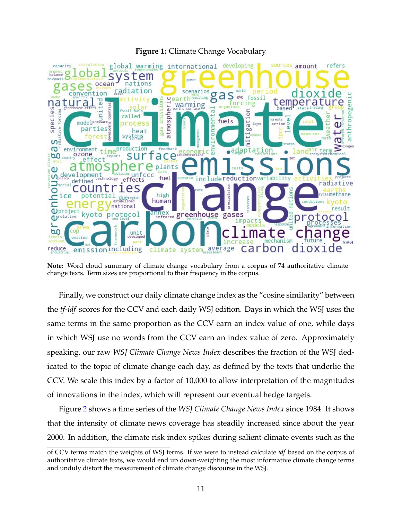<span id="page-12-0"></span>

#### **Figure 1:** Climate Change Vocabulary

**Note:** Word cloud summary of climate change vocabulary from a corpus of 74 authoritative climate change texts. Term sizes are proportional to their frequency in the corpus.

Finally, we construct our daily climate change index as the "cosine similarity" between the *tf-idf* scores for the CCV and each daily WSJ edition. Days in which the WSJ uses the same terms in the same proportion as the CCV earn an index value of one, while days in which WSJ use no words from the CCV earn an index value of zero. Approximately speaking, our raw *WSJ Climate Change News Index* describes the fraction of the WSJ dedicated to the topic of climate change each day, as defined by the texts that underlie the CCV. We scale this index by a factor of 10,000 to allow interpretation of the magnitudes of innovations in the index, which will represent our eventual hedge targets.

Figure [2](#page-13-0) shows a time series of the *WSJ Climate Change News Index* since 1984. It shows that the intensity of climate news coverage has steadily increased since about the year 2000. In addition, the climate risk index spikes during salient climate events such as the

of CCV terms match the weights of WSJ terms. If we were to instead calculate *idf* based on the corpus of authoritative climate texts, we would end up down-weighting the most informative climate change terms and unduly distort the measurement of climate change discourse in the WSJ.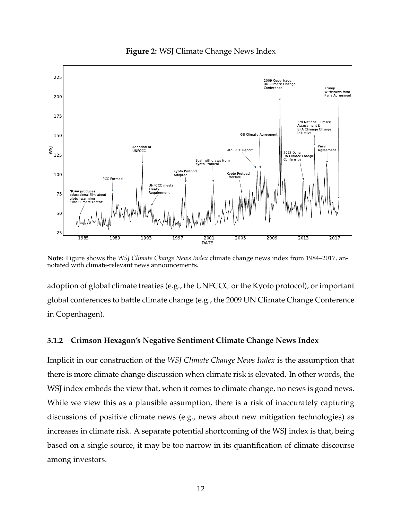<span id="page-13-0"></span>

**Figure 2:** WSJ Climate Change News Index

**Note:** Figure shows the *WSJ Climate Change News Index* climate change news index from 1984–2017, annotated with climate-relevant news announcements.

adoption of global climate treaties (e.g., the UNFCCC or the Kyoto protocol), or important global conferences to battle climate change (e.g., the 2009 UN Climate Change Conference in Copenhagen).

#### **3.1.2 Crimson Hexagon's Negative Sentiment Climate Change News Index**

Implicit in our construction of the *WSJ Climate Change News Index* is the assumption that there is more climate change discussion when climate risk is elevated. In other words, the WSJ index embeds the view that, when it comes to climate change, no news is good news. While we view this as a plausible assumption, there is a risk of inaccurately capturing discussions of positive climate news (e.g., news about new mitigation technologies) as increases in climate risk. A separate potential shortcoming of the WSJ index is that, being based on a single source, it may be too narrow in its quantification of climate discourse among investors.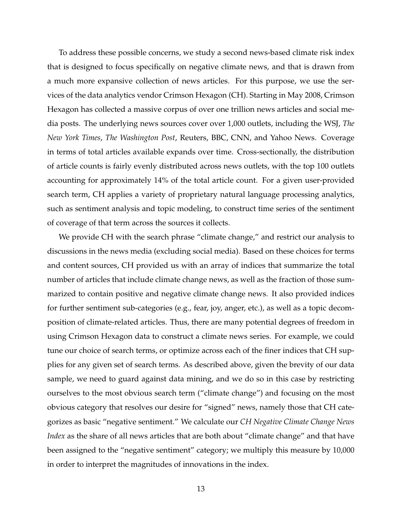To address these possible concerns, we study a second news-based climate risk index that is designed to focus specifically on negative climate news, and that is drawn from a much more expansive collection of news articles. For this purpose, we use the services of the data analytics vendor Crimson Hexagon (CH). Starting in May 2008, Crimson Hexagon has collected a massive corpus of over one trillion news articles and social media posts. The underlying news sources cover over 1,000 outlets, including the WSJ, *The New York Times*, *The Washington Post*, Reuters, BBC, CNN, and Yahoo News. Coverage in terms of total articles available expands over time. Cross-sectionally, the distribution of article counts is fairly evenly distributed across news outlets, with the top 100 outlets accounting for approximately 14% of the total article count. For a given user-provided search term, CH applies a variety of proprietary natural language processing analytics, such as sentiment analysis and topic modeling, to construct time series of the sentiment of coverage of that term across the sources it collects.

We provide CH with the search phrase "climate change," and restrict our analysis to discussions in the news media (excluding social media). Based on these choices for terms and content sources, CH provided us with an array of indices that summarize the total number of articles that include climate change news, as well as the fraction of those summarized to contain positive and negative climate change news. It also provided indices for further sentiment sub-categories (e.g., fear, joy, anger, etc.), as well as a topic decomposition of climate-related articles. Thus, there are many potential degrees of freedom in using Crimson Hexagon data to construct a climate news series. For example, we could tune our choice of search terms, or optimize across each of the finer indices that CH supplies for any given set of search terms. As described above, given the brevity of our data sample, we need to guard against data mining, and we do so in this case by restricting ourselves to the most obvious search term ("climate change") and focusing on the most obvious category that resolves our desire for "signed" news, namely those that CH categorizes as basic "negative sentiment." We calculate our *CH Negative Climate Change News Index* as the share of all news articles that are both about "climate change" and that have been assigned to the "negative sentiment" category; we multiply this measure by 10,000 in order to interpret the magnitudes of innovations in the index.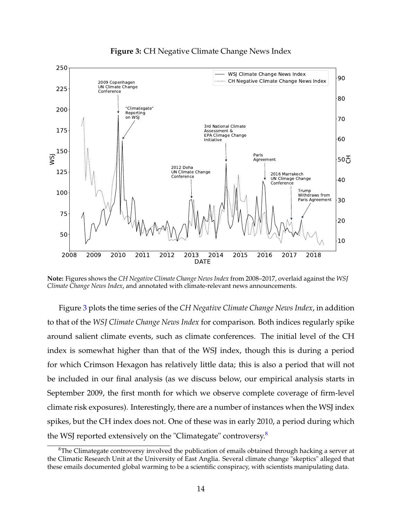<span id="page-15-0"></span>

**Figure 3:** CH Negative Climate Change News Index

**Note:** Figures shows the *CH Negative Climate Change News Index* from 2008–2017, overlaid against the *WSJ Climate Change News Index*, and annotated with climate-relevant news announcements.

Figure [3](#page-15-0) plots the time series of the *CH Negative Climate Change News Index*, in addition to that of the *WSJ Climate Change News Index* for comparison. Both indices regularly spike around salient climate events, such as climate conferences. The initial level of the CH index is somewhat higher than that of the WSJ index, though this is during a period for which Crimson Hexagon has relatively little data; this is also a period that will not be included in our final analysis (as we discuss below, our empirical analysis starts in September 2009, the first month for which we observe complete coverage of firm-level climate risk exposures). Interestingly, there are a number of instances when the WSJ index spikes, but the CH index does not. One of these was in early 2010, a period during which the WSJ reported extensively on the "Climategate" controversy.<sup>[8](#page-15-1)</sup>

<span id="page-15-1"></span><sup>&</sup>lt;sup>8</sup>The Climategate controversy involved the publication of emails obtained through hacking a server at the Climatic Research Unit at the University of East Anglia. Several climate change "skeptics" alleged that these emails documented global warming to be a scientific conspiracy, with scientists manipulating data.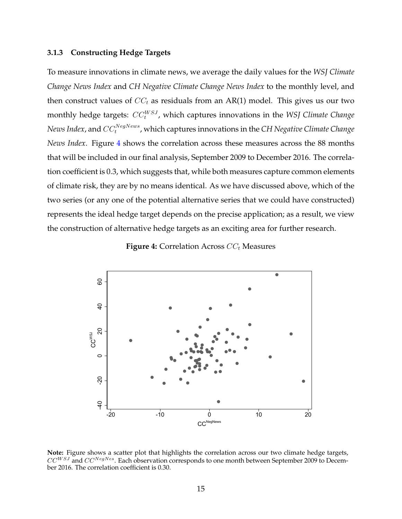#### **3.1.3 Constructing Hedge Targets**

To measure innovations in climate news, we average the daily values for the *WSJ Climate Change News Index* and *CH Negative Climate Change News Index* to the monthly level, and then construct values of  $CC_t$  as residuals from an AR(1) model. This gives us our two monthly hedge targets:  $\mathit{CC}^{WSJ}_{t}$ , which captures innovations in the *WSJ Climate Change*  $N$ ews Index, and  $CC_{t}^{NegNews}$ , which captures innovations in the CH Negative Climate Change *News Index*. Figure [4](#page-16-0) shows the correlation across these measures across the 88 months that will be included in our final analysis, September 2009 to December 2016. The correlation coefficient is 0.3, which suggests that, while both measures capture common elements of climate risk, they are by no means identical. As we have discussed above, which of the two series (or any one of the potential alternative series that we could have constructed) represents the ideal hedge target depends on the precise application; as a result, we view the construction of alternative hedge targets as an exciting area for further research.



<span id="page-16-0"></span>

**Note:** Figure shows a scatter plot that highlights the correlation across our two climate hedge targets,  $CC^{WSJ}$  and  $CC^{NegNes}$ . Each observation corresponds to one month between September 2009 to December 2016. The correlation coefficient is 0.30.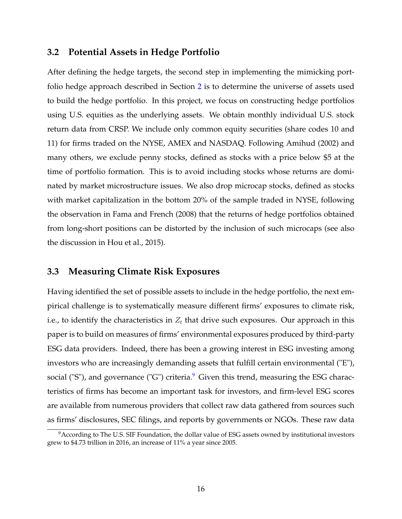## **3.2 Potential Assets in Hedge Portfolio**

After defining the hedge targets, the second step in implementing the mimicking portfolio hedge approach described in Section [2](#page-6-0) is to determine the universe of assets used to build the hedge portfolio. In this project, we focus on constructing hedge portfolios using U.S. equities as the underlying assets. We obtain monthly individual U.S. stock return data from CRSP. We include only common equity securities (share codes 10 and 11) for firms traded on the NYSE, AMEX and NASDAQ. Following [Amihud](#page-38-10) [\(2002\)](#page-38-10) and many others, we exclude penny stocks, defined as stocks with a price below \$5 at the time of portfolio formation. This is to avoid including stocks whose returns are dominated by market microstructure issues. We also drop microcap stocks, defined as stocks with market capitalization in the bottom 20% of the sample traded in NYSE, following the observation in [Fama and French](#page-38-11) [\(2008\)](#page-38-11) that the returns of hedge portfolios obtained from long-short positions can be distorted by the inclusion of such microcaps (see also the discussion in [Hou et al., 2015\)](#page-39-12).

## **3.3 Measuring Climate Risk Exposures**

Having identified the set of possible assets to include in the hedge portfolio, the next empirical challenge is to systematically measure different firms' exposures to climate risk, i.e., to identify the characteristics in  $Z_t$  that drive such exposures. Our approach in this paper is to build on measures of firms' environmental exposures produced by third-party ESG data providers. Indeed, there has been a growing interest in ESG investing among investors who are increasingly demanding assets that fulfill certain environmental ("E"), social ("S"), and governance ("G") criteria.<sup>[9](#page-17-0)</sup> Given this trend, measuring the ESG characteristics of firms has become an important task for investors, and firm-level ESG scores are available from numerous providers that collect raw data gathered from sources such as firms' disclosures, SEC filings, and reports by governments or NGOs. These raw data

<span id="page-17-0"></span><sup>9</sup>According to The U.S. SIF Foundation, the dollar value of ESG assets owned by institutional investors grew to \$4.73 trillion in 2016, an increase of 11% a year since 2005.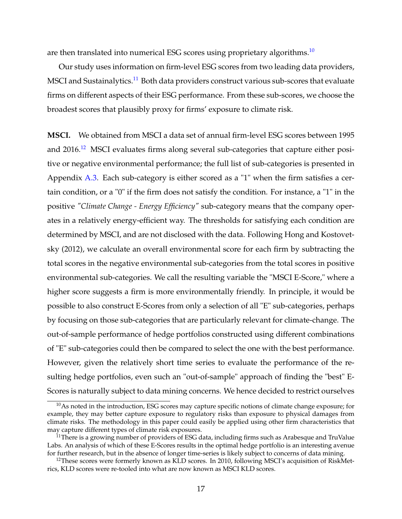are then translated into numerical ESG scores using proprietary algorithms.<sup>[10](#page-18-0)</sup>

Our study uses information on firm-level ESG scores from two leading data providers, MSCI and Sustainalytics.<sup>[11](#page-18-1)</sup> Both data providers construct various sub-scores that evaluate firms on different aspects of their ESG performance. From these sub-scores, we choose the broadest scores that plausibly proxy for firms' exposure to climate risk.

**MSCI.** We obtained from MSCI a data set of annual firm-level ESG scores between 1995 and 2016.<sup>[12](#page-18-2)</sup> MSCI evaluates firms along several sub-categories that capture either positive or negative environmental performance; the full list of sub-categories is presented in Appendix [A.3.](#page-45-0) Each sub-category is either scored as a "1" when the firm satisfies a certain condition, or a "0" if the firm does not satisfy the condition. For instance, a "1" in the positive *"Climate Change - Energy Efficiency"* sub-category means that the company operates in a relatively energy-efficient way. The thresholds for satisfying each condition are determined by MSCI, and are not disclosed with the data. Following [Hong and Kostovet](#page-39-13)[sky](#page-39-13) [\(2012\)](#page-39-13), we calculate an overall environmental score for each firm by subtracting the total scores in the negative environmental sub-categories from the total scores in positive environmental sub-categories. We call the resulting variable the "MSCI E-Score," where a higher score suggests a firm is more environmentally friendly. In principle, it would be possible to also construct E-Scores from only a selection of all "E" sub-categories, perhaps by focusing on those sub-categories that are particularly relevant for climate-change. The out-of-sample performance of hedge portfolios constructed using different combinations of "E" sub-categories could then be compared to select the one with the best performance. However, given the relatively short time series to evaluate the performance of the resulting hedge portfolios, even such an "out-of-sample" approach of finding the "best" E-Scores is naturally subject to data mining concerns. We hence decided to restrict ourselves

<span id="page-18-0"></span> $10$ As noted in the introduction, ESG scores may capture specific notions of climate change exposure; for example, they may better capture exposure to regulatory risks than exposure to physical damages from climate risks. The methodology in this paper could easily be applied using other firm characteristics that may capture different types of climate risk exposures.

<span id="page-18-1"></span><sup>&</sup>lt;sup>11</sup>There is a growing number of providers of ESG data, including firms such as Arabesque and TruValue Labs. An analysis of which of these E-Scores results in the optimal hedge portfolio is an interesting avenue for further research, but in the absence of longer time-series is likely subject to concerns of data mining.

<span id="page-18-2"></span><sup>&</sup>lt;sup>12</sup>These scores were formerly known as KLD scores. In 2010, following MSCI's acquisition of RiskMetrics, KLD scores were re-tooled into what are now known as MSCI KLD scores.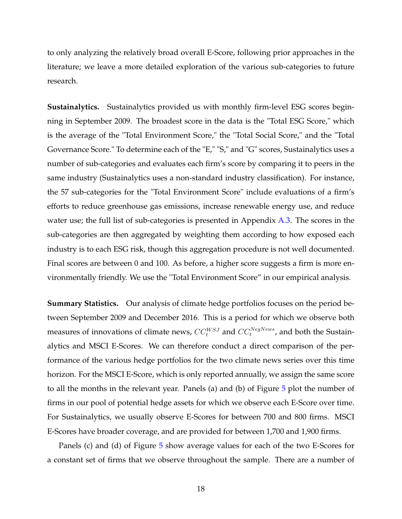to only analyzing the relatively broad overall E-Score, following prior approaches in the literature; we leave a more detailed exploration of the various sub-categories to future research.

**Sustainalytics.** Sustainalytics provided us with monthly firm-level ESG scores beginning in September 2009. The broadest score in the data is the "Total ESG Score," which is the average of the "Total Environment Score," the "Total Social Score," and the "Total Governance Score." To determine each of the "E," "S," and "G" scores, Sustainalytics uses a number of sub-categories and evaluates each firm's score by comparing it to peers in the same industry (Sustainalytics uses a non-standard industry classification). For instance, the 57 sub-categories for the "Total Environment Score" include evaluations of a firm's efforts to reduce greenhouse gas emissions, increase renewable energy use, and reduce water use; the full list of sub-categories is presented in Appendix [A.3.](#page-45-0) The scores in the sub-categories are then aggregated by weighting them according to how exposed each industry is to each ESG risk, though this aggregation procedure is not well documented. Final scores are between 0 and 100. As before, a higher score suggests a firm is more environmentally friendly. We use the "Total Environment Score" in our empirical analysis.

**Summary Statistics.** Our analysis of climate hedge portfolios focuses on the period between September 2009 and December 2016. This is a period for which we observe both measures of innovations of climate news,  $CC_t^{WSJ}$  and  $CC_t^{NegNews}$ , and both the Sustainalytics and MSCI E-Scores. We can therefore conduct a direct comparison of the performance of the various hedge portfolios for the two climate news series over this time horizon. For the MSCI E-Score, which is only reported annually, we assign the same score to all the months in the relevant year. Panels (a) and (b) of Figure [5](#page-20-0) plot the number of firms in our pool of potential hedge assets for which we observe each E-Score over time. For Sustainalytics, we usually observe E-Scores for between 700 and 800 firms. MSCI E-Scores have broader coverage, and are provided for between 1,700 and 1,900 firms.

Panels (c) and (d) of Figure [5](#page-20-0) show average values for each of the two E-Scores for a constant set of firms that we observe throughout the sample. There are a number of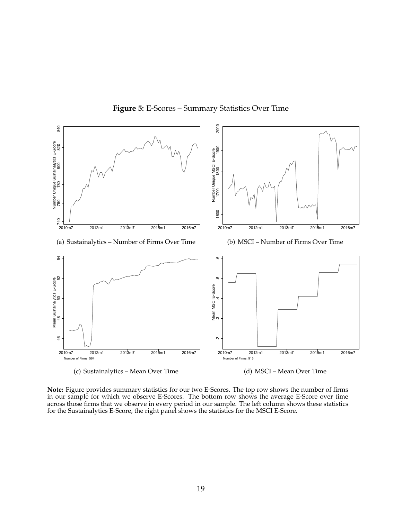<span id="page-20-0"></span>

#### **Figure 5:** E-Scores – Summary Statistics Over Time

(d) MSCI – Mean Over Time

**Note:** Figure provides summary statistics for our two E-Scores. The top row shows the number of firms in our sample for which we observe E-Scores. The bottom row shows the average E-Score over time across those firms that we observe in every period in our sample. The left column shows these statistics for the Sustainalytics E-Score, the right panel shows the statistics for the MSCI E-Score.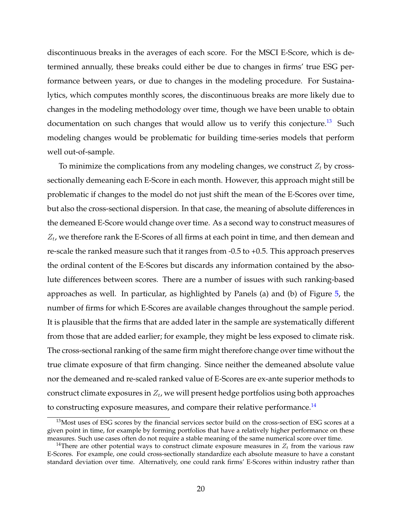discontinuous breaks in the averages of each score. For the MSCI E-Score, which is determined annually, these breaks could either be due to changes in firms' true ESG performance between years, or due to changes in the modeling procedure. For Sustainalytics, which computes monthly scores, the discontinuous breaks are more likely due to changes in the modeling methodology over time, though we have been unable to obtain documentation on such changes that would allow us to verify this conjecture.<sup>[13](#page-21-0)</sup> Such modeling changes would be problematic for building time-series models that perform well out-of-sample.

To minimize the complications from any modeling changes, we construct  $Z_t$  by crosssectionally demeaning each E-Score in each month. However, this approach might still be problematic if changes to the model do not just shift the mean of the E-Scores over time, but also the cross-sectional dispersion. In that case, the meaning of absolute differences in the demeaned E-Score would change over time. As a second way to construct measures of  $Z_t$ , we therefore rank the E-Scores of all firms at each point in time, and then demean and re-scale the ranked measure such that it ranges from -0.5 to +0.5. This approach preserves the ordinal content of the E-Scores but discards any information contained by the absolute differences between scores. There are a number of issues with such ranking-based approaches as well. In particular, as highlighted by Panels (a) and (b) of Figure [5,](#page-20-0) the number of firms for which E-Scores are available changes throughout the sample period. It is plausible that the firms that are added later in the sample are systematically different from those that are added earlier; for example, they might be less exposed to climate risk. The cross-sectional ranking of the same firm might therefore change over time without the true climate exposure of that firm changing. Since neither the demeaned absolute value nor the demeaned and re-scaled ranked value of E-Scores are ex-ante superior methods to construct climate exposures in  $Z_t$ , we will present hedge portfolios using both approaches to constructing exposure measures, and compare their relative performance.<sup>[14](#page-21-1)</sup>

<span id="page-21-0"></span><sup>&</sup>lt;sup>13</sup>Most uses of ESG scores by the financial services sector build on the cross-section of ESG scores at a given point in time, for example by forming portfolios that have a relatively higher performance on these measures. Such use cases often do not require a stable meaning of the same numerical score over time.

<span id="page-21-1"></span><sup>&</sup>lt;sup>14</sup>There are other potential ways to construct climate exposure measures in  $Z_t$  from the various raw E-Scores. For example, one could cross-sectionally standardize each absolute measure to have a constant standard deviation over time. Alternatively, one could rank firms' E-Scores within industry rather than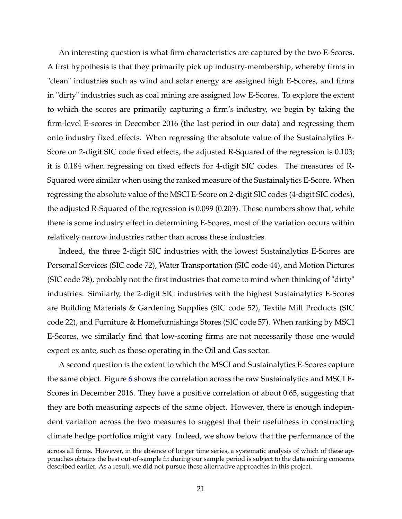An interesting question is what firm characteristics are captured by the two E-Scores. A first hypothesis is that they primarily pick up industry-membership, whereby firms in "clean" industries such as wind and solar energy are assigned high E-Scores, and firms in "dirty" industries such as coal mining are assigned low E-Scores. To explore the extent to which the scores are primarily capturing a firm's industry, we begin by taking the firm-level E-scores in December 2016 (the last period in our data) and regressing them onto industry fixed effects. When regressing the absolute value of the Sustainalytics E-Score on 2-digit SIC code fixed effects, the adjusted R-Squared of the regression is 0.103; it is 0.184 when regressing on fixed effects for 4-digit SIC codes. The measures of R-Squared were similar when using the ranked measure of the Sustainalytics E-Score. When regressing the absolute value of the MSCI E-Score on 2-digit SIC codes (4-digit SIC codes), the adjusted R-Squared of the regression is 0.099 (0.203). These numbers show that, while there is some industry effect in determining E-Scores, most of the variation occurs within relatively narrow industries rather than across these industries.

Indeed, the three 2-digit SIC industries with the lowest Sustainalytics E-Scores are Personal Services (SIC code 72), Water Transportation (SIC code 44), and Motion Pictures (SIC code 78), probably not the first industries that come to mind when thinking of "dirty" industries. Similarly, the 2-digit SIC industries with the highest Sustainalytics E-Scores are Building Materials & Gardening Supplies (SIC code 52), Textile Mill Products (SIC code 22), and Furniture & Homefurnishings Stores (SIC code 57). When ranking by MSCI E-Scores, we similarly find that low-scoring firms are not necessarily those one would expect ex ante, such as those operating in the Oil and Gas sector.

A second question is the extent to which the MSCI and Sustainalytics E-Scores capture the same object. Figure [6](#page-23-0) shows the correlation across the raw Sustainalytics and MSCI E-Scores in December 2016. They have a positive correlation of about 0.65, suggesting that they are both measuring aspects of the same object. However, there is enough independent variation across the two measures to suggest that their usefulness in constructing climate hedge portfolios might vary. Indeed, we show below that the performance of the

across all firms. However, in the absence of longer time series, a systematic analysis of which of these approaches obtains the best out-of-sample fit during our sample period is subject to the data mining concerns described earlier. As a result, we did not pursue these alternative approaches in this project.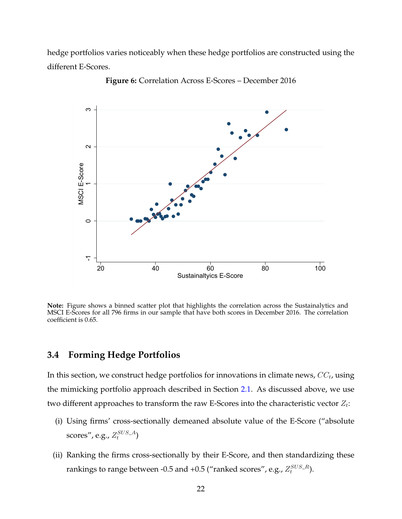<span id="page-23-0"></span>hedge portfolios varies noticeably when these hedge portfolios are constructed using the different E-Scores.



**Figure 6:** Correlation Across E-Scores – December 2016

**Note:** Figure shows a binned scatter plot that highlights the correlation across the Sustainalytics and MSCI E-Scores for all 796 firms in our sample that have both scores in December 2016. The correlation coefficient is 0.65.

## **3.4 Forming Hedge Portfolios**

In this section, we construct hedge portfolios for innovations in climate news,  $\mathit{CC}_t$ , using the mimicking portfolio approach described in Section [2.1.](#page-8-2) As discussed above, we use two different approaches to transform the raw E-Scores into the characteristic vector  $Z_t$ :

- (i) Using firms' cross-sectionally demeaned absolute value of the E-Score ("absolute scores", e.g.,  $Z_t^{SUS\_A})$
- (ii) Ranking the firms cross-sectionally by their E-Score, and then standardizing these rankings to range between -0.5 and +0.5 ("ranked scores", e.g.,  $Z_t^{SUS\_R}$ ).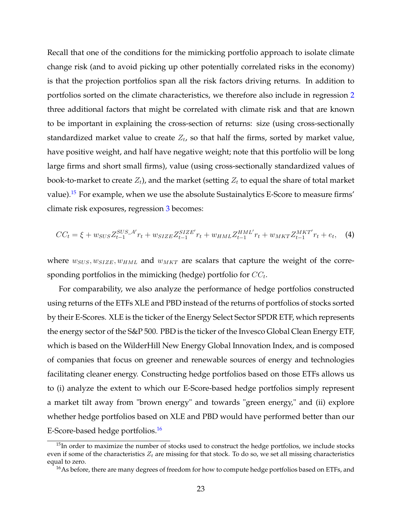Recall that one of the conditions for the mimicking portfolio approach to isolate climate change risk (and to avoid picking up other potentially correlated risks in the economy) is that the projection portfolios span all the risk factors driving returns. In addition to portfolios sorted on the climate characteristics, we therefore also include in regression [2](#page-7-2) three additional factors that might be correlated with climate risk and that are known to be important in explaining the cross-section of returns: size (using cross-sectionally standardized market value to create  $Z_t$ , so that half the firms, sorted by market value, have positive weight, and half have negative weight; note that this portfolio will be long large firms and short small firms), value (using cross-sectionally standardized values of book-to-market to create  $Z_t$ ), and the market (setting  $Z_t$  to equal the share of total market value).<sup>[15](#page-24-0)</sup> For example, when we use the absolute Sustainalytics E-Score to measure firms' climate risk exposures, regression [3](#page-8-1) becomes:

<span id="page-24-2"></span>
$$
CC_{t} = \xi + w_{SUS} Z_{t-1}^{SUS} A' r_{t} + w_{SIZE} Z_{t-1}^{SIZE} r_{t} + w_{HML} Z_{t-1}^{HML} r_{t} + w_{MKT} Z_{t-1}^{MKT} r_{t} + e_{t}, \quad (4)
$$

where  $w_{SUS}, w_{SIZE}, w_{HML}$  and  $w_{MKT}$  are scalars that capture the weight of the corresponding portfolios in the mimicking (hedge) portfolio for  $\mathit{CC}_t.$ 

For comparability, we also analyze the performance of hedge portfolios constructed using returns of the ETFs XLE and PBD instead of the returns of portfolios of stocks sorted by their E-Scores. XLE is the ticker of the Energy Select Sector SPDR ETF, which represents the energy sector of the S&P 500. PBD is the ticker of the Invesco Global Clean Energy ETF, which is based on the WilderHill New Energy Global Innovation Index, and is composed of companies that focus on greener and renewable sources of energy and technologies facilitating cleaner energy. Constructing hedge portfolios based on those ETFs allows us to (i) analyze the extent to which our E-Score-based hedge portfolios simply represent a market tilt away from "brown energy" and towards "green energy," and (ii) explore whether hedge portfolios based on XLE and PBD would have performed better than our E-Score-based hedge portfolios.[16](#page-24-1)

<span id="page-24-0"></span> $15$ In order to maximize the number of stocks used to construct the hedge portfolios, we include stocks even if some of the characteristics  $Z_t$  are missing for that stock. To do so, we set all missing characteristics equal to zero.

<span id="page-24-1"></span><sup>&</sup>lt;sup>16</sup>As before, there are many degrees of freedom for how to compute hedge portfolios based on ETFs, and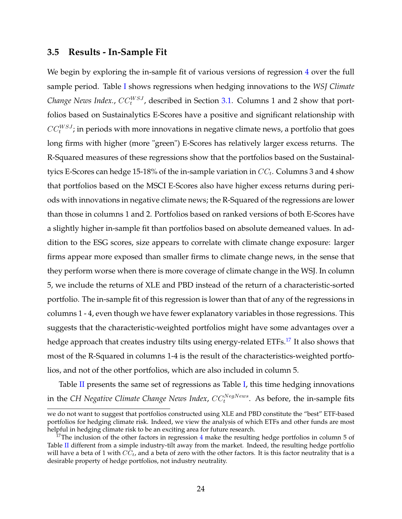### **3.5 Results - In-Sample Fit**

We begin by exploring the in-sample fit of various versions of regression [4](#page-24-2) over the full sample period. Table [I](#page-26-0) shows regressions when hedging innovations to the *WSJ Climate Change News Index.,*  $CC_t^{WSJ}$ *,* described in Section [3.1.](#page-10-1) Columns 1 and 2 show that portfolios based on Sustainalytics E-Scores have a positive and significant relationship with  $\mathit{CC}^{WSJ}_t;$  in periods with more innovations in negative climate news, a portfolio that goes long firms with higher (more "green") E-Scores has relatively larger excess returns. The R-Squared measures of these regressions show that the portfolios based on the Sustainaltyics E-Scores can hedge 15-18% of the in-sample variation in  $\mathit{CC}_t$ . Columns 3 and 4 show that portfolios based on the MSCI E-Scores also have higher excess returns during periods with innovations in negative climate news; the R-Squared of the regressions are lower than those in columns 1 and 2. Portfolios based on ranked versions of both E-Scores have a slightly higher in-sample fit than portfolios based on absolute demeaned values. In addition to the ESG scores, size appears to correlate with climate change exposure: larger firms appear more exposed than smaller firms to climate change news, in the sense that they perform worse when there is more coverage of climate change in the WSJ. In column 5, we include the returns of XLE and PBD instead of the return of a characteristic-sorted portfolio. The in-sample fit of this regression is lower than that of any of the regressions in columns 1 - 4, even though we have fewer explanatory variables in those regressions. This suggests that the characteristic-weighted portfolios might have some advantages over a hedge approach that creates industry tilts using energy-related ETFs.[17](#page-25-0) It also shows that most of the R-Squared in columns 1-4 is the result of the characteristics-weighted portfolios, and not of the other portfolios, which are also included in column 5.

Table  $II$  presents the same set of regressions as Table [I,](#page-26-0) this time hedging innovations in the CH Negative Climate Change News Index,  $CC_t^{NegNews}$ . As before, the in-sample fits

we do not want to suggest that portfolios constructed using XLE and PBD constitute the "best" ETF-based portfolios for hedging climate risk. Indeed, we view the analysis of which ETFs and other funds are most helpful in hedging climate risk to be an exciting area for future research.

<span id="page-25-0"></span> $17$ The inclusion of the other factors in regression [4](#page-24-2) make the resulting hedge portfolios in column 5 of Table [II](#page-27-0) different from a simple industry-tilt away from the market. Indeed, the resulting hedge portfolio will have a beta of 1 with  $CC_t$ , and a beta of zero with the other factors. It is this factor neutrality that is a desirable property of hedge portfolios, not industry neutrality.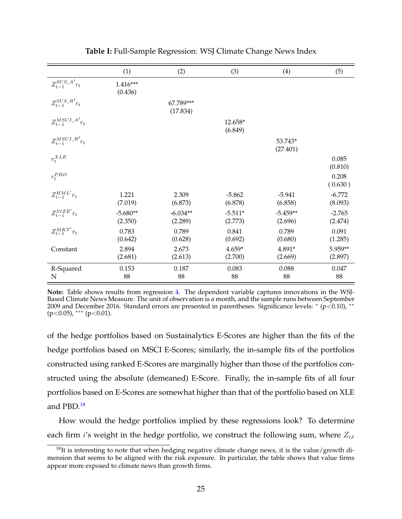<span id="page-26-0"></span>

|                                      | (1)                   | (2)                   | (3)                  | (4)                   | (5)                 |
|--------------------------------------|-----------------------|-----------------------|----------------------|-----------------------|---------------------|
| $Z_{t-1}^{SUS\_A'}r_t$               | $1.416***$<br>(0.436) |                       |                      |                       |                     |
| $Z_{t-1}^{SUS_R}$ <sup>'</sup> $r_t$ |                       | 67.789***<br>(17.834) |                      |                       |                     |
| $Z_{t-1}^{MSCI\_A'}r_t$              |                       |                       | 12.658*<br>(6.849)   |                       |                     |
| $Z_{t-1}^{MSCI_R'}r_t$               |                       |                       |                      | 53.743*<br>(27.401)   |                     |
| $r_t^{XLE}$                          |                       |                       |                      |                       | 0.085<br>(0.810)    |
| $r_t^{PBD}$                          |                       |                       |                      |                       | 0.208<br>(0.630)    |
| $Z_{t-1}^{HML'}r_t$                  | 1.221<br>(7.019)      | 2.309<br>(6.873)      | $-5.862$<br>(6.878)  | $-5.941$<br>(6.858)   | $-6.772$<br>(8.093) |
| $Z_{t-1}^{SIZE'}r_t$                 | $-5.680**$<br>(2.350) | $-6.034**$<br>(2.289) | $-5.511*$<br>(2.773) | $-5.459**$<br>(2.696) | $-2.765$<br>(2.474) |
| $Z_{t-1}^{MKT'}r_t$                  | 0.783<br>(0.642)      | 0.789<br>(0.628)      | 0.841<br>(0.692)     | 0.789<br>(0.680)      | 0.091<br>(1.285)    |
| Constant                             | 2.894<br>(2.681)      | 2.673<br>(2.613)      | $4.659*$<br>(2.700)  | 4.891*<br>(2.669)     | 5.959**<br>(2.897)  |
| R-Squared<br>N                       | 0.153<br>88           | 0.187<br>88           | 0.083<br>88          | 0.088<br>88           | 0.047<br>88         |

**Table I:** Full-Sample Regression: WSJ Climate Change News Index

**Note:** Table shows results from regression [4.](#page-24-2) The dependent variable captures innovations in the WSJ-Based Climate News Measure. The unit of observation is a month, and the sample runs between September 2009 and December 2016. Standard errors are presented in parentheses. Significance levels: \* (p<0.10), \*\* (p<0.05), ∗∗∗ (p<0.01).

of the hedge portfolios based on Sustainalytics E-Scores are higher than the fits of the hedge portfolios based on MSCI E-Scores; similarly, the in-sample fits of the portfolios constructed using ranked E-Scores are marginally higher than those of the portfolios constructed using the absolute (demeaned) E-Score. Finally, the in-sample fits of all four portfolios based on E-Scores are somewhat higher than that of the portfolio based on XLE and PBD.[18](#page-26-1)

How would the hedge portfolios implied by these regressions look? To determine each firm i's weight in the hedge portfolio, we construct the following sum, where  $Z_{i,t}$ 

<span id="page-26-1"></span> $18$ It is interesting to note that when hedging negative climate change news, it is the value/growth dimension that seems to be aligned with the risk exposure. In particular, the table shows that value firms appear more exposed to climate news than growth firms.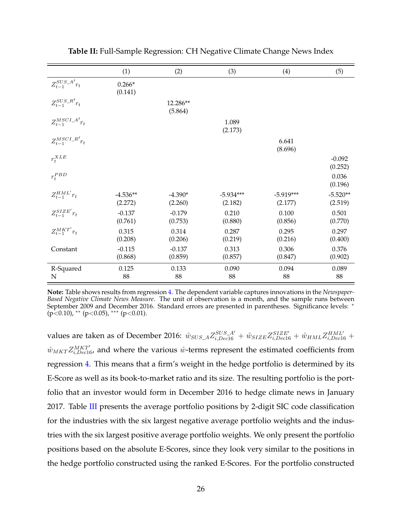<span id="page-27-0"></span>

|                                | (1)                   | (2)                  | (3)                    | (4)                    | (5)                   |
|--------------------------------|-----------------------|----------------------|------------------------|------------------------|-----------------------|
| $Z_{t-1}^{SUS\_A'}r_t$         | $0.266*$<br>(0.141)   |                      |                        |                        |                       |
| $Z_{t-1}^{SUS_R}$ <sup>r</sup> |                       | 12.286**<br>(5.864)  |                        |                        |                       |
| $Z_{t-1}^{MSCI\_A'}r_t$        |                       |                      | 1.089<br>(2.173)       |                        |                       |
| $Z_{t-1}^{MSCI_R'}r_t$         |                       |                      |                        | 6.641<br>(8.696)       |                       |
| $r_t^{XLE}$                    |                       |                      |                        |                        | $-0.092$<br>(0.252)   |
| $r_t^{PBD}$                    |                       |                      |                        |                        | 0.036<br>(0.196)      |
| $Z_{t-1}^{HML'}r_t$            | $-4.536**$<br>(2.272) | $-4.390*$<br>(2.260) | $-5.934***$<br>(2.182) | $-5.919***$<br>(2.177) | $-5.520**$<br>(2.519) |
| $Z_{t-1}^{SIZE'}r_t$           | $-0.137$<br>(0.761)   | $-0.179$<br>(0.753)  | 0.210<br>(0.880)       | 0.100<br>(0.856)       | 0.501<br>(0.770)      |
| $Z_{t-1}^{MKT'}r_t$            | 0.315<br>(0.208)      | 0.314<br>(0.206)     | 0.287<br>(0.219)       | 0.295<br>(0.216)       | 0.297<br>(0.400)      |
| Constant                       | $-0.115$<br>(0.868)   | $-0.137$<br>(0.859)  | 0.313<br>(0.857)       | 0.306<br>(0.847)       | 0.376<br>(0.902)      |
| R-Squared<br>N                 | 0.125<br>88           | 0.133<br>88          | 0.090<br>88            | 0.094<br>88            | 0.089<br>88           |

**Table II:** Full-Sample Regression: CH Negative Climate Change News Index

**Note:** Table shows results from regression [4.](#page-24-2) The dependent variable captures innovations in the *Newspaper-Based Negative Climate News Measure*. The unit of observation is a month, and the sample runs between September 2009 and December 2016. Standard errors are presented in parentheses. Significance levels: <sup>∗</sup>  $(p<0.10)$ , \*\*  $(p<0.05)$ , \*\*\*  $(p<0.01)$ .

values are taken as of December 2016:  $\hat{w}_{SUS\_A}Z_{i,Dec16}^{SUS\_A'} + \hat{w}_{SIZE}Z_{i,Dec16}^{SIZE'} + \hat{w}_{HML}Z_{i,Dec16}^{HML'} +$  $\hat{w}_{MKT}Z_{i,Dec16}^{MKT'}$ , and where the various  $\hat{w}$ -terms represent the estimated coefficients from regression [4.](#page-24-2) This means that a firm's weight in the hedge portfolio is determined by its E-Score as well as its book-to-market ratio and its size. The resulting portfolio is the portfolio that an investor would form in December 2016 to hedge climate news in January 2017. Table [III](#page-28-0) presents the average portfolio positions by 2-digit SIC code classification for the industries with the six largest negative average portfolio weights and the industries with the six largest positive average portfolio weights. We only present the portfolio positions based on the absolute E-Scores, since they look very similar to the positions in the hedge portfolio constructed using the ranked E-Scores. For the portfolio constructed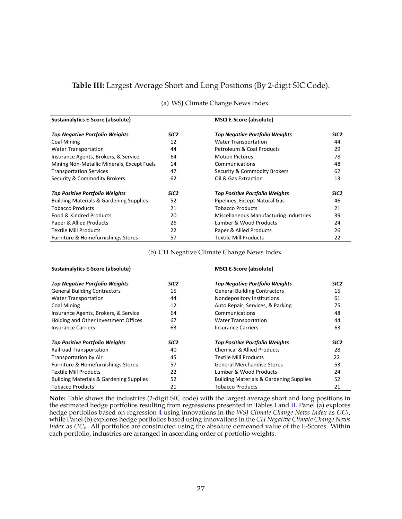### <span id="page-28-0"></span>**Table III:** Largest Average Short and Long Positions (By 2-digit SIC Code).

| (a) WSJ Climate Change News Index |  |  |
|-----------------------------------|--|--|
|-----------------------------------|--|--|

| <b>Sustainalytics E-Score (absolute)</b>           |                  | <b>MSCI E-Score (absolute)</b>         |                  |
|----------------------------------------------------|------------------|----------------------------------------|------------------|
| <b>Top Negative Portfolio Weights</b>              | SIC <sub>2</sub> | <b>Top Negative Portfolio Weights</b>  | SIC <sub>2</sub> |
| <b>Coal Mining</b>                                 | 12               | <b>Water Transportation</b>            | 44               |
| <b>Water Transportation</b>                        | 44               | Petroleum & Coal Products              | 29               |
| Insurance Agents, Brokers, & Service               | 64               | <b>Motion Pictures</b>                 | 78               |
| Mining Non-Metallic Minerals, Except Fuels         | 14               | Communications                         | 48               |
| <b>Transportation Services</b>                     | 47               | Security & Commodity Brokers           | 62               |
| Security & Commodity Brokers                       | 62               | Oil & Gas Extraction                   | 13               |
| <b>Top Positive Portfolio Weights</b>              | SIC <sub>2</sub> | <b>Top Positive Portfolio Weights</b>  | SIC <sub>2</sub> |
| <b>Building Materials &amp; Gardening Supplies</b> | 52               | Pipelines, Except Natural Gas          | 46               |
| <b>Tobacco Products</b>                            | 21               | <b>Tobacco Products</b>                | 21               |
| Food & Kindred Products                            | 20               | Miscellaneous Manufacturing Industries | 39               |
| Paper & Allied Products                            | 26               | Lumber & Wood Products                 | 24               |
| <b>Textile Mill Products</b>                       | 22               | Paper & Allied Products                | 26               |
| Furniture & Homefurnishings Stores                 | 57               | <b>Textile Mill Products</b>           | 22               |

#### (b) CH Negative Climate Change News Index

| <b>Sustainalytics E-Score (absolute)</b>           |                  | <b>MSCI E-Score (absolute)</b>                     |                  |
|----------------------------------------------------|------------------|----------------------------------------------------|------------------|
| Top Negative Portfolio Weights                     | SIC2             | Top Negative Portfolio Weights                     | SIC <sub>2</sub> |
| <b>General Building Contractors</b>                | 15               | <b>General Building Contractors</b>                | 15               |
| <b>Water Transportation</b>                        | 44               | Nondepository Institutions                         | 61               |
| Coal Mining                                        | 12               | Auto Repair, Services, & Parking                   | 75               |
| Insurance Agents, Brokers, & Service               | 64               | Communications                                     | 48               |
| Holding and Other Investment Offices               | 67               | <b>Water Transportation</b>                        | 44               |
| <b>Insurance Carriers</b>                          | 63               | <b>Insurance Carriers</b>                          | 63               |
| <b>Top Positive Portfolio Weights</b>              | SIC <sub>2</sub> | <b>Top Positive Portfolio Weights</b>              | SIC <sub>2</sub> |
| Railroad Transportation                            | 40               | <b>Chemical &amp; Allied Products</b>              | 28               |
| Transportation by Air                              | 45               | <b>Textile Mill Products</b>                       | 22               |
| Furniture & Homefurnishings Stores                 | 57               | <b>General Merchandise Stores</b>                  | 53               |
| <b>Textile Mill Products</b>                       | 22               | Lumber & Wood Products                             | 24               |
| <b>Building Materials &amp; Gardening Supplies</b> | 52               | <b>Building Materials &amp; Gardening Supplies</b> | 52               |
| <b>Tobacco Products</b>                            | 21               | <b>Tobacco Products</b>                            | 21               |

**Note:** Table shows the industries (2-digit SIC code) with the largest average short and long positions in the estimated hedge portfolios resulting from regressions presented in Tables [I](#page-26-0) and [II.](#page-27-0) Panel (a) explores hedge portfolios based on regression [4](#page-24-2) using innovations in the *WSJ Climate Change News Index* as CCt, while Panel (b) explores hedge portfolios based using innovations in the *CH Negative Climate Change News Index* as  $CC_t$ . All portfolios are constructed using the absolute demeaned value of the E-Scores. Within each portfolio, industries are arranged in ascending order of portfolio weights.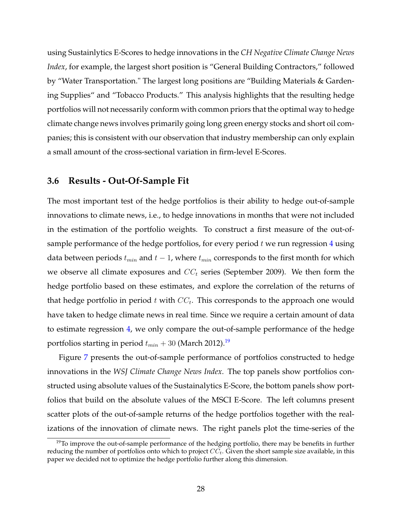using Sustainlytics E-Scores to hedge innovations in the *CH Negative Climate Change News Index*, for example, the largest short position is "General Building Contractors," followed by "Water Transportation." The largest long positions are "Building Materials & Gardening Supplies" and "Tobacco Products." This analysis highlights that the resulting hedge portfolios will not necessarily conform with common priors that the optimal way to hedge climate change news involves primarily going long green energy stocks and short oil companies; this is consistent with our observation that industry membership can only explain a small amount of the cross-sectional variation in firm-level E-Scores.

### **3.6 Results - Out-Of-Sample Fit**

The most important test of the hedge portfolios is their ability to hedge out-of-sample innovations to climate news, i.e., to hedge innovations in months that were not included in the estimation of the portfolio weights. To construct a first measure of the out-ofsample performance of the hedge portfolios, for every period  $t$  we run regression  $4$  using data between periods  $t_{min}$  and  $t - 1$ , where  $t_{min}$  corresponds to the first month for which we observe all climate exposures and  $CC_t$  series (September 2009). We then form the hedge portfolio based on these estimates, and explore the correlation of the returns of that hedge portfolio in period t with  $CC_t$ . This corresponds to the approach one would have taken to hedge climate news in real time. Since we require a certain amount of data to estimate regression [4,](#page-24-2) we only compare the out-of-sample performance of the hedge portfolios starting in period  $t_{min} + 30$  (March 2012).<sup>[19](#page-29-0)</sup>

Figure [7](#page-30-0) presents the out-of-sample performance of portfolios constructed to hedge innovations in the *WSJ Climate Change News Index*. The top panels show portfolios constructed using absolute values of the Sustainalytics E-Score, the bottom panels show portfolios that build on the absolute values of the MSCI E-Score. The left columns present scatter plots of the out-of-sample returns of the hedge portfolios together with the realizations of the innovation of climate news. The right panels plot the time-series of the

<span id="page-29-0"></span> $19$ To improve the out-of-sample performance of the hedging portfolio, there may be benefits in further reducing the number of portfolios onto which to project  $CC<sub>t</sub>$ . Given the short sample size available, in this paper we decided not to optimize the hedge portfolio further along this dimension.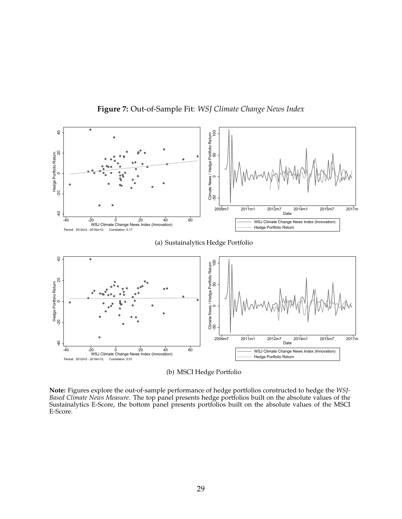<span id="page-30-0"></span>

**Figure 7:** Out-of-Sample Fit: *WSJ Climate Change News Index*

(b) MSCI Hedge Portfolio

**Note:** Figures explore the out-of-sample performance of hedge portfolios constructed to hedge the *WSJ-Based Climate News Measure*. The top panel presents hedge portfolios built on the absolute values of the Sustainalytics E-Score, the bottom panel presents portfolios built on the absolute values of the MSCI E-Score.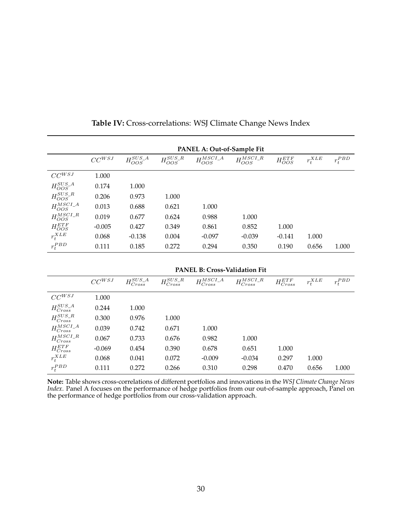<span id="page-31-0"></span>

|                     | PANEL A: Out-of-Sample Fit |                    |                   |                     |                    |                 |             |             |
|---------------------|----------------------------|--------------------|-------------------|---------------------|--------------------|-----------------|-------------|-------------|
|                     | $CC^{WSJ}$                 | $H_{OOS}^{SUS\_A}$ | $H_{OOS}^{SUS_R}$ | $H_{OOS}^{MSCI\_A}$ | $H_{OOS}^{MSCI_R}$ | $H_{OOS}^{ETF}$ | $r_t^{XLE}$ | $r_t^{PBD}$ |
| $CC^{WSJ}$          | 1.000                      |                    |                   |                     |                    |                 |             |             |
| $H_{OOS}^{SUS\_A}$  | 0.174                      | 1.000              |                   |                     |                    |                 |             |             |
| $H_{OOS}^{SUS_R}$   | 0.206                      | 0.973              | 1.000             |                     |                    |                 |             |             |
| $H_{OOS}^{MSCI\_A}$ | 0.013                      | 0.688              | 0.621             | 1.000               |                    |                 |             |             |
| $H_{OOS}^{MSCI_R}$  | 0.019                      | 0.677              | 0.624             | 0.988               | 1.000              |                 |             |             |
| $H_{OOS}^{ETF}$     | $-0.005$                   | 0.427              | 0.349             | 0.861               | 0.852              | 1.000           |             |             |
| $r_t^{XLE}$         | 0.068                      | $-0.138$           | 0.004             | $-0.097$            | $-0.039$           | $-0.141$        | 1.000       |             |
| $r_t^{PBD}$         | 0.111                      | 0.185              | 0.272             | 0.294               | 0.350              | 0.190           | 0.656       | 1.000       |

**Table IV:** Cross-correlations: WSJ Climate Change News Index

|                       | $CC^{WSJ}$ | $H_{Cross}^{SUS\_A}$ | $H_{Cross}^{SUS\_R}$ | $H_{Cross}^{MSCI\_A}$ | $H_{Cross}^{MSCI\_R}$ | ${\cal H}^{ETF}_{Cross}$ | $r_t^{XLE}$ | $r_t^{PBD}$ |
|-----------------------|------------|----------------------|----------------------|-----------------------|-----------------------|--------------------------|-------------|-------------|
| $CC^{WSJ}$            | 1.000      |                      |                      |                       |                       |                          |             |             |
| $H_{Cross}^{SUS\_A}$  | 0.244      | 1.000                |                      |                       |                       |                          |             |             |
| $H_{Cross}^{SUS\_R}$  | 0.300      | 0.976                | 1.000                |                       |                       |                          |             |             |
| $H_{Cross}^{MSCI\_A}$ | 0.039      | 0.742                | 0.671                | 1.000                 |                       |                          |             |             |
| $H_{Cross}^{MSCI\_R}$ | 0.067      | 0.733                | 0.676                | 0.982                 | 1.000                 |                          |             |             |
| $H^{ETF}_{Cross}$     | $-0.069$   | 0.454                | 0.390                | 0.678                 | 0.651                 | 1.000                    |             |             |
| $r_t^{XLE}$           | 0.068      | 0.041                | 0.072                | $-0.009$              | $-0.034$              | 0.297                    | 1.000       |             |
| $r_t^{PBD}$           | 0.111      | 0.272                | 0.266                | 0.310                 | 0.298                 | 0.470                    | 0.656       | 1.000       |

**Note:** Table shows cross-correlations of different portfolios and innovations in the *WSJ Climate Change News Index*. Panel A focuses on the performance of hedge portfolios from our out-of-sample approach, Panel on the performance of hedge portfolios from our cross-validation approach.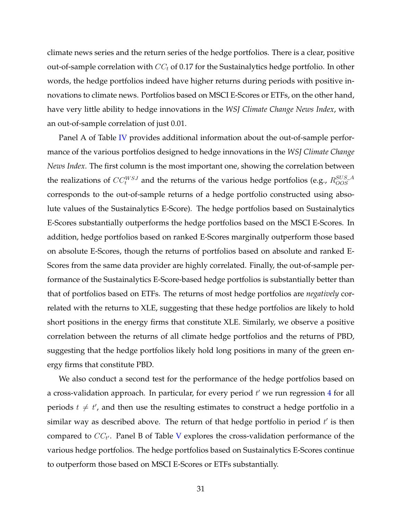climate news series and the return series of the hedge portfolios. There is a clear, positive out-of-sample correlation with  $CC_t$  of 0.17 for the Sustainalytics hedge portfolio. In other words, the hedge portfolios indeed have higher returns during periods with positive innovations to climate news. Portfolios based on MSCI E-Scores or ETFs, on the other hand, have very little ability to hedge innovations in the *WSJ Climate Change News Index*, with an out-of-sample correlation of just 0.01.

Panel A of Table [IV](#page-31-0) provides additional information about the out-of-sample performance of the various portfolios designed to hedge innovations in the *WSJ Climate Change News Index*. The first column is the most important one, showing the correlation between the realizations of  $CC_t^{WSJ}$  and the returns of the various hedge portfolios (e.g.,  $R_{OOS}^{SUS\_A}$ corresponds to the out-of-sample returns of a hedge portfolio constructed using absolute values of the Sustainalytics E-Score). The hedge portfolios based on Sustainalytics E-Scores substantially outperforms the hedge portfolios based on the MSCI E-Scores. In addition, hedge portfolios based on ranked E-Scores marginally outperform those based on absolute E-Scores, though the returns of portfolios based on absolute and ranked E-Scores from the same data provider are highly correlated. Finally, the out-of-sample performance of the Sustainalytics E-Score-based hedge portfolios is substantially better than that of portfolios based on ETFs. The returns of most hedge portfolios are *negatively* correlated with the returns to XLE, suggesting that these hedge portfolios are likely to hold short positions in the energy firms that constitute XLE. Similarly, we observe a positive correlation between the returns of all climate hedge portfolios and the returns of PBD, suggesting that the hedge portfolios likely hold long positions in many of the green energy firms that constitute PBD.

We also conduct a second test for the performance of the hedge portfolios based on a cross-validation approach. In particular, for every period  $t'$  we run regression [4](#page-24-2) for all periods  $t \neq t'$ , and then use the resulting estimates to construct a hedge portfolio in a similar way as described above. The return of that hedge portfolio in period  $t'$  is then compared to  $\mathit{CC}_{t'}$ . Panel B of Table [V](#page-35-0) explores the cross-validation performance of the various hedge portfolios. The hedge portfolios based on Sustainalytics E-Scores continue to outperform those based on MSCI E-Scores or ETFs substantially.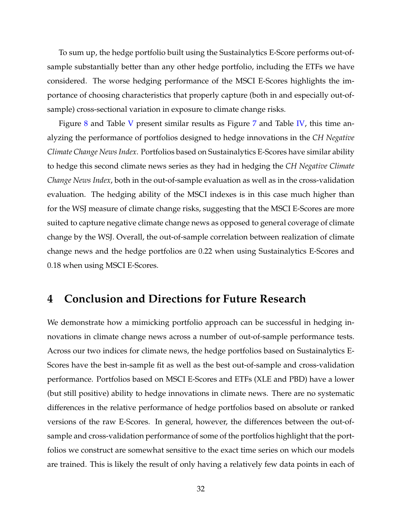To sum up, the hedge portfolio built using the Sustainalytics E-Score performs out-ofsample substantially better than any other hedge portfolio, including the ETFs we have considered. The worse hedging performance of the MSCI E-Scores highlights the importance of choosing characteristics that properly capture (both in and especially out-ofsample) cross-sectional variation in exposure to climate change risks.

Figure [8](#page-34-0) and Table [V](#page-35-0) present similar results as Figure [7](#page-30-0) and Table [IV,](#page-31-0) this time analyzing the performance of portfolios designed to hedge innovations in the *CH Negative Climate Change News Index*. Portfolios based on Sustainalytics E-Scores have similar ability to hedge this second climate news series as they had in hedging the *CH Negative Climate Change News Index*, both in the out-of-sample evaluation as well as in the cross-validation evaluation. The hedging ability of the MSCI indexes is in this case much higher than for the WSJ measure of climate change risks, suggesting that the MSCI E-Scores are more suited to capture negative climate change news as opposed to general coverage of climate change by the WSJ. Overall, the out-of-sample correlation between realization of climate change news and the hedge portfolios are 0.22 when using Sustainalytics E-Scores and 0.18 when using MSCI E-Scores.

## **4 Conclusion and Directions for Future Research**

We demonstrate how a mimicking portfolio approach can be successful in hedging innovations in climate change news across a number of out-of-sample performance tests. Across our two indices for climate news, the hedge portfolios based on Sustainalytics E-Scores have the best in-sample fit as well as the best out-of-sample and cross-validation performance. Portfolios based on MSCI E-Scores and ETFs (XLE and PBD) have a lower (but still positive) ability to hedge innovations in climate news. There are no systematic differences in the relative performance of hedge portfolios based on absolute or ranked versions of the raw E-Scores. In general, however, the differences between the out-ofsample and cross-validation performance of some of the portfolios highlight that the portfolios we construct are somewhat sensitive to the exact time series on which our models are trained. This is likely the result of only having a relatively few data points in each of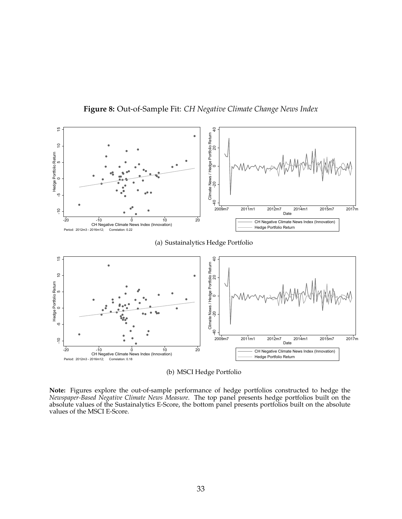<span id="page-34-0"></span>

**Figure 8:** Out-of-Sample Fit: *CH Negative Climate Change News Index*

(b) MSCI Hedge Portfolio

**Note:** Figures explore the out-of-sample performance of hedge portfolios constructed to hedge the *Newspaper-Based Negative Climate News Measure*. The top panel presents hedge portfolios built on the absolute values of the Sustainalytics E-Score, the bottom panel presents portfolios built on the absolute values of the MSCI E-Score.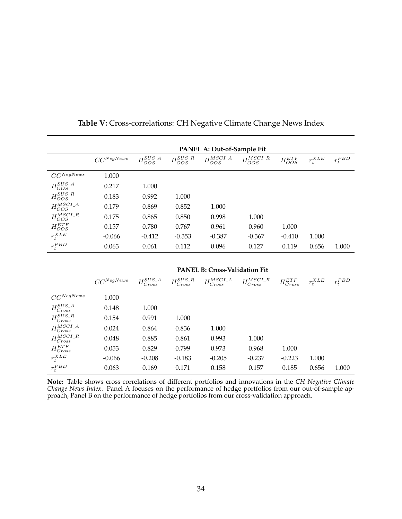<span id="page-35-0"></span>

|                     | PANEL A: Out-of-Sample Fit |                    |                   |                     |                    |                 |             |             |
|---------------------|----------------------------|--------------------|-------------------|---------------------|--------------------|-----------------|-------------|-------------|
|                     | $CC^{NegNews}$             | $H_{OOS}^{SUS\_A}$ | $H_{OOS}^{SUS_R}$ | $H_{OOS}^{MSCI\_A}$ | $H_{OOS}^{MSCI_R}$ | $H_{OOS}^{ETF}$ | $r_t^{XLE}$ | $r_t^{PBD}$ |
| $CC^{NegNews}$      | 1.000                      |                    |                   |                     |                    |                 |             |             |
| $H_{OOS}^{SUS\_A}$  | 0.217                      | 1.000              |                   |                     |                    |                 |             |             |
| $H_{OOS}^{SUS_R}$   | 0.183                      | 0.992              | 1.000             |                     |                    |                 |             |             |
| $H_{OOS}^{MSCI\_A}$ | 0.179                      | 0.869              | 0.852             | 1.000               |                    |                 |             |             |
| $H_{OOS}^{MSCI_R}$  | 0.175                      | 0.865              | 0.850             | 0.998               | 1.000              |                 |             |             |
| $H_{OOS}^{ETF}$     | 0.157                      | 0.780              | 0.767             | 0.961               | 0.960              | 1.000           |             |             |
| $r_t^{XLE}$         | $-0.066$                   | $-0.412$           | $-0.353$          | $-0.387$            | $-0.367$           | $-0.410$        | 1.000       |             |
| $r_t^{PBD}$         | 0.063                      | 0.061              | 0.112             | 0.096               | 0.127              | 0.119           | 0.656       | 1.000       |

**Table V:** Cross-correlations: CH Negative Climate Change News Index

**PANEL B: Cross-Validation Fit**

|                             | $CC^{NegNews}$ | $H_{Cross}^{SUS\_A}$ | $H_{Cross}^{SUS\_R}$ | $H_{Cross}^{MSCI\_A}$ | $H_{Cross}^{MSCI_R}$ | $H^{ETF}_{Cross}$ | $r_t^{XLE}$ | $r_t^{PBD}$ |
|-----------------------------|----------------|----------------------|----------------------|-----------------------|----------------------|-------------------|-------------|-------------|
| $CC^{NegNews}$              | 1.000          |                      |                      |                       |                      |                   |             |             |
| ${\cal H}_{Cross}^{SUS\_A}$ | 0.148          | 1.000                |                      |                       |                      |                   |             |             |
| $H_{Cross}^{SUS\_R}$        | 0.154          | 0.991                | 1.000                |                       |                      |                   |             |             |
| $H_{Cross}^{MSCI\_A}$       | 0.024          | 0.864                | 0.836                | 1.000                 |                      |                   |             |             |
| $H_{Cross}^{MSCI\_R}$       | 0.048          | 0.885                | 0.861                | 0.993                 | 1.000                |                   |             |             |
| $H_{Cross}^{ETF}$           | 0.053          | 0.829                | 0.799                | 0.973                 | 0.968                | 1.000             |             |             |
| $r_t^{XLE}$                 | $-0.066$       | $-0.208$             | $-0.183$             | $-0.205$              | $-0.237$             | $-0.223$          | 1.000       |             |
| $r_t^{PBD}$                 | 0.063          | 0.169                | 0.171                | 0.158                 | 0.157                | 0.185             | 0.656       | 1.000       |

**Note:** Table shows cross-correlations of different portfolios and innovations in the *CH Negative Climate Change News Index*. Panel A focuses on the performance of hedge portfolios from our out-of-sample approach, Panel B on the performance of hedge portfolios from our cross-validation approach.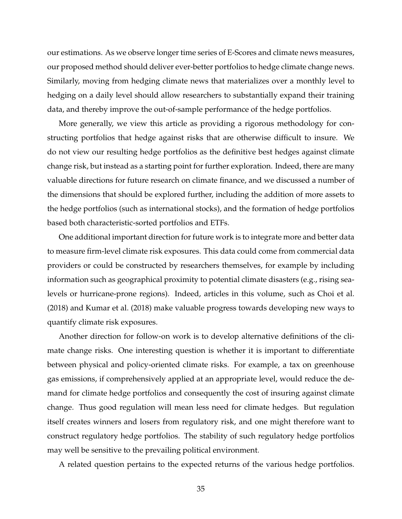our estimations. As we observe longer time series of E-Scores and climate news measures, our proposed method should deliver ever-better portfolios to hedge climate change news. Similarly, moving from hedging climate news that materializes over a monthly level to hedging on a daily level should allow researchers to substantially expand their training data, and thereby improve the out-of-sample performance of the hedge portfolios.

More generally, we view this article as providing a rigorous methodology for constructing portfolios that hedge against risks that are otherwise difficult to insure. We do not view our resulting hedge portfolios as the definitive best hedges against climate change risk, but instead as a starting point for further exploration. Indeed, there are many valuable directions for future research on climate finance, and we discussed a number of the dimensions that should be explored further, including the addition of more assets to the hedge portfolios (such as international stocks), and the formation of hedge portfolios based both characteristic-sorted portfolios and ETFs.

One additional important direction for future work is to integrate more and better data to measure firm-level climate risk exposures. This data could come from commercial data providers or could be constructed by researchers themselves, for example by including information such as geographical proximity to potential climate disasters (e.g., rising sealevels or hurricane-prone regions). Indeed, articles in this volume, such as [Choi et al.](#page-38-5) [\(2018\)](#page-38-5) and [Kumar et al.](#page-39-7) [\(2018\)](#page-39-7) make valuable progress towards developing new ways to quantify climate risk exposures.

Another direction for follow-on work is to develop alternative definitions of the climate change risks. One interesting question is whether it is important to differentiate between physical and policy-oriented climate risks. For example, a tax on greenhouse gas emissions, if comprehensively applied at an appropriate level, would reduce the demand for climate hedge portfolios and consequently the cost of insuring against climate change. Thus good regulation will mean less need for climate hedges. But regulation itself creates winners and losers from regulatory risk, and one might therefore want to construct regulatory hedge portfolios. The stability of such regulatory hedge portfolios may well be sensitive to the prevailing political environment.

A related question pertains to the expected returns of the various hedge portfolios.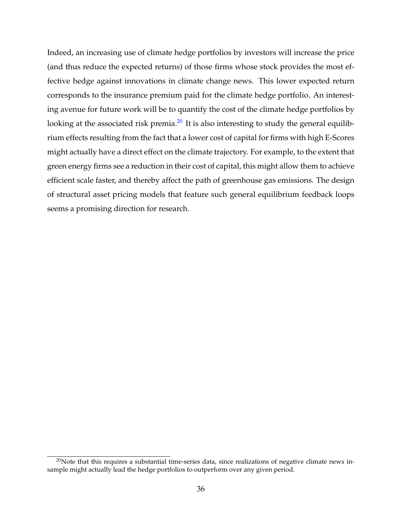Indeed, an increasing use of climate hedge portfolios by investors will increase the price (and thus reduce the expected returns) of those firms whose stock provides the most effective hedge against innovations in climate change news. This lower expected return corresponds to the insurance premium paid for the climate hedge portfolio. An interesting avenue for future work will be to quantify the cost of the climate hedge portfolios by looking at the associated risk premia. $^{20}$  $^{20}$  $^{20}$  It is also interesting to study the general equilibrium effects resulting from the fact that a lower cost of capital for firms with high E-Scores might actually have a direct effect on the climate trajectory. For example, to the extent that green energy firms see a reduction in their cost of capital, this might allow them to achieve efficient scale faster, and thereby affect the path of greenhouse gas emissions. The design of structural asset pricing models that feature such general equilibrium feedback loops seems a promising direction for research.

<span id="page-37-0"></span> $20$ Note that this requires a substantial time-series data, since realizations of negative climate news insample might actually lead the hedge portfolios to outperform over any given period.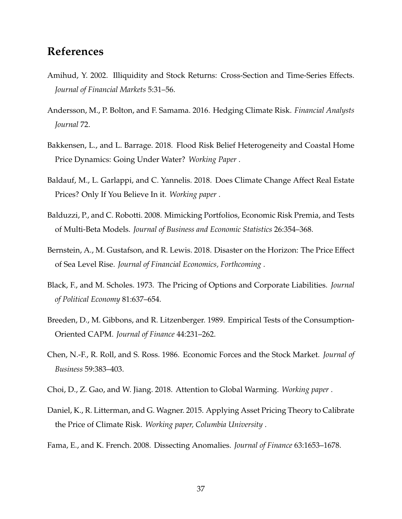# **References**

- <span id="page-38-10"></span>Amihud, Y. 2002. Illiquidity and Stock Returns: Cross-Section and Time-Series Effects. *Journal of Financial Markets* 5:31–56.
- <span id="page-38-4"></span>Andersson, M., P. Bolton, and F. Samama. 2016. Hedging Climate Risk. *Financial Analysts Journal* 72.
- <span id="page-38-7"></span>Bakkensen, L., and L. Barrage. 2018. Flood Risk Belief Heterogeneity and Coastal Home Price Dynamics: Going Under Water? *Working Paper* .
- <span id="page-38-6"></span>Baldauf, M., L. Garlappi, and C. Yannelis. 2018. Does Climate Change Affect Real Estate Prices? Only If You Believe In it. *Working paper* .
- <span id="page-38-3"></span>Balduzzi, P., and C. Robotti. 2008. Mimicking Portfolios, Economic Risk Premia, and Tests of Multi-Beta Models. *Journal of Business and Economic Statistics* 26:354–368.
- <span id="page-38-8"></span>Bernstein, A., M. Gustafson, and R. Lewis. 2018. Disaster on the Horizon: The Price Effect of Sea Level Rise. *Journal of Financial Economics, Forthcoming* .
- <span id="page-38-0"></span>Black, F., and M. Scholes. 1973. The Pricing of Options and Corporate Liabilities. *Journal of Political Economy* 81:637–654.
- <span id="page-38-2"></span>Breeden, D., M. Gibbons, and R. Litzenberger. 1989. Empirical Tests of the Consumption-Oriented CAPM. *Journal of Finance* 44:231–262.
- <span id="page-38-1"></span>Chen, N.-F., R. Roll, and S. Ross. 1986. Economic Forces and the Stock Market. *Journal of Business* 59:383–403.
- <span id="page-38-5"></span>Choi, D., Z. Gao, and W. Jiang. 2018. Attention to Global Warming. *Working paper* .
- <span id="page-38-9"></span>Daniel, K., R. Litterman, and G. Wagner. 2015. Applying Asset Pricing Theory to Calibrate the Price of Climate Risk. *Working paper, Columbia University* .
- <span id="page-38-11"></span>Fama, E., and K. French. 2008. Dissecting Anomalies. *Journal of Finance* 63:1653–1678.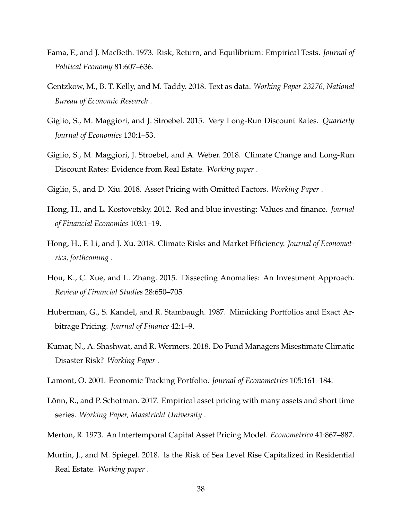- <span id="page-39-1"></span>Fama, F., and J. MacBeth. 1973. Risk, Return, and Equilibrium: Empirical Tests. *Journal of Political Economy* 81:607–636.
- <span id="page-39-11"></span>Gentzkow, M., B. T. Kelly, and M. Taddy. 2018. Text as data. *Working Paper 23276, National Bureau of Economic Research* .
- <span id="page-39-10"></span>Giglio, S., M. Maggiori, and J. Stroebel. 2015. Very Long-Run Discount Rates. *Quarterly Journal of Economics* 130:1–53.
- <span id="page-39-8"></span>Giglio, S., M. Maggiori, J. Stroebel, and A. Weber. 2018. Climate Change and Long-Run Discount Rates: Evidence from Real Estate. *Working paper* .
- <span id="page-39-5"></span>Giglio, S., and D. Xiu. 2018. Asset Pricing with Omitted Factors. *Working Paper* .
- <span id="page-39-13"></span>Hong, H., and L. Kostovetsky. 2012. Red and blue investing: Values and finance. *Journal of Financial Economics* 103:1–19.
- <span id="page-39-6"></span>Hong, H., F. Li, and J. Xu. 2018. Climate Risks and Market Efficiency. *Journal of Econometrics, forthcoming* .
- <span id="page-39-12"></span>Hou, K., C. Xue, and L. Zhang. 2015. Dissecting Anomalies: An Investment Approach. *Review of Financial Studies* 28:650–705.
- <span id="page-39-2"></span>Huberman, G., S. Kandel, and R. Stambaugh. 1987. Mimicking Portfolios and Exact Arbitrage Pricing. *Journal of Finance* 42:1–9.
- <span id="page-39-7"></span>Kumar, N., A. Shashwat, and R. Wermers. 2018. Do Fund Managers Misestimate Climatic Disaster Risk? *Working Paper* .
- <span id="page-39-3"></span>Lamont, O. 2001. Economic Tracking Portfolio. *Journal of Econometrics* 105:161–184.
- <span id="page-39-4"></span>Lönn, R., and P. Schotman. 2017. Empirical asset pricing with many assets and short time series. *Working Paper, Maastricht University* .
- <span id="page-39-0"></span>Merton, R. 1973. An Intertemporal Capital Asset Pricing Model. *Econometrica* 41:867–887.
- <span id="page-39-9"></span>Murfin, J., and M. Spiegel. 2018. Is the Risk of Sea Level Rise Capitalized in Residential Real Estate. *Working paper* .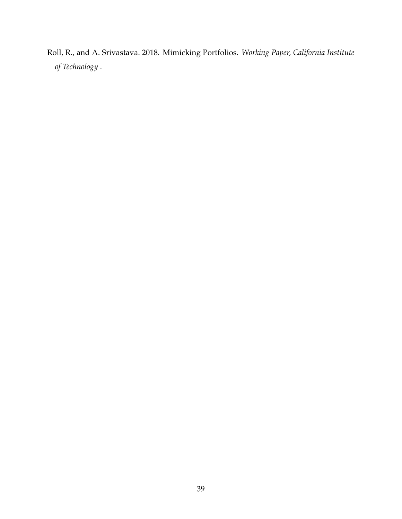<span id="page-40-0"></span>Roll, R., and A. Srivastava. 2018. Mimicking Portfolios. *Working Paper, California Institute of Technology* .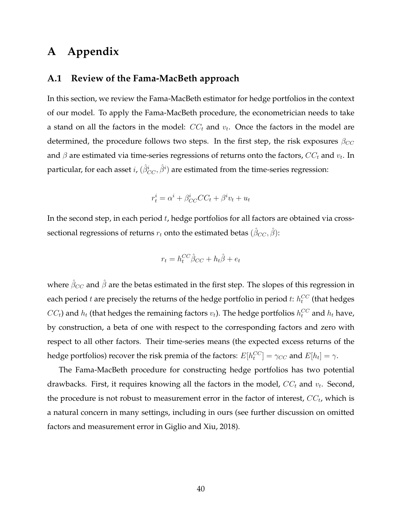# **A Appendix**

## <span id="page-41-0"></span>**A.1 Review of the Fama-MacBeth approach**

In this section, we review the Fama-MacBeth estimator for hedge portfolios in the context of our model. To apply the Fama-MacBeth procedure, the econometrician needs to take a stand on all the factors in the model:  $\mathit{CC}_t$  and  $v_t$ . Once the factors in the model are determined, the procedure follows two steps. In the first step, the risk exposures  $\beta_{CC}$ and  $\beta$  are estimated via time-series regressions of returns onto the factors,  $CC_t$  and  $v_t$ . In particular, for each asset  $i$ ,  $(\hat{\beta}^i_{CC}, \hat{\beta}^i)$  are estimated from the time-series regression:

$$
r_t^i = \alpha^i + \beta_{CC}^i CC_t + \beta^i v_t + u_t
$$

In the second step, in each period  $t$ , hedge portfolios for all factors are obtained via crosssectional regressions of returns  $r_t$  onto the estimated betas  $(\hat{\beta}_{CC}, \hat{\beta})$ :

$$
r_t = h_t^{CC} \hat{\beta}_{CC} + h_t \hat{\beta} + e_t
$$

where  $\hat{\beta}_{CC}$  and  $\hat{\beta}$  are the betas estimated in the first step. The slopes of this regression in each period  $t$  are precisely the returns of the hedge portfolio in period  $t$ :  $h_t^{CC}$  (that hedges  $CC_t$ ) and  $h_t$  (that hedges the remaining factors  $v_t$ ). The hedge portfolios  $h_t^{CC}$  and  $h_t$  have, by construction, a beta of one with respect to the corresponding factors and zero with respect to all other factors. Their time-series means (the expected excess returns of the hedge portfolios) recover the risk premia of the factors:  $E[h_t^{CC}] = \gamma_{CC}$  and  $E[h_t] = \gamma.$ 

The Fama-MacBeth procedure for constructing hedge portfolios has two potential drawbacks. First, it requires knowing all the factors in the model,  $CC_t$  and  $v_t$ . Second, the procedure is not robust to measurement error in the factor of interest,  $\mathit{CC}_t$ , which is a natural concern in many settings, including in ours (see further discussion on omitted factors and measurement error in [Giglio and Xiu, 2018\)](#page-39-5).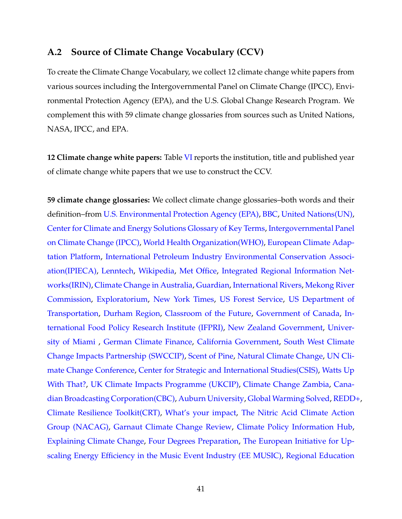## <span id="page-42-0"></span>**A.2 Source of Climate Change Vocabulary (CCV)**

To create the Climate Change Vocabulary, we collect 12 climate change white papers from various sources including the Intergovernmental Panel on Climate Change (IPCC), Environmental Protection Agency (EPA), and the U.S. Global Change Research Program. We complement this with 59 climate change glossaries from sources such as United Nations, NASA, IPCC, and EPA.

**12 Climate change white papers:** Table [VI](#page-44-0) reports the institution, title and published year of climate change white papers that we use to construct the CCV.

**59 climate change glossaries:** We collect climate change glossaries–both words and their definition–from [U.S. Environmental Protection Agency \(EPA\),](https://www3.epa.gov/climatechange/glossary.html) [BBC,](http://www.bbc.com/news/science-environment-11833685) [United Nations\(UN\),](http://unfccc.int/essential_background/glossary/items/3666.php) [Center for Climate and Energy Solutions Glossary of Key Terms,](https://www.c2es.org/science-impacts/basics/glossary) [Intergovernmental Panel](https://www.ipcc.ch/publications_and_data/publications_and_data_glossary.shtml) [on Climate Change \(IPCC\),](https://www.ipcc.ch/publications_and_data/publications_and_data_glossary.shtml) [World Health Organization\(WHO\),](http://www.who.int/globalchange/climate/summary/en/index13.html) [European Climate Adap](http://climate-adapt.eea.europa.eu/help/glossary)[tation Platform,](http://climate-adapt.eea.europa.eu/help/glossary) [International Petroleum Industry Environmental Conservation Associ](https://www.world-petroleum.org/docs/docs/socialres/climate_change_glossary.pdf)[ation\(IPIECA\),](https://www.world-petroleum.org/docs/docs/socialres/climate_change_glossary.pdf) [Lenntech,](https://www.lenntech.com/greenhouse-effect/climate-change-glossary.htm) [Wikipedia,](https://en.wikipedia.org/wiki/Glossary_of_climate_change) [Met Office,](https://www.metoffice.gov.uk/climate-guide/climate-change/glossary) [Integrated Regional Information Net](https://assets.irinnews.org/s3fs-public/irinfactfileclimatechangeterminology-03-17.pdf?Ash7ptrlX0lqt4P2a3f8XHVpyLXBdiHS)[works\(IRIN\),](https://assets.irinnews.org/s3fs-public/irinfactfileclimatechangeterminology-03-17.pdf?Ash7ptrlX0lqt4P2a3f8XHVpyLXBdiHS) [Climate Change in Australia,](https://www.climatechangeinaustralia.gov.au/en/support-and-guidance/glossary/) [Guardian,](https://www.theguardian.com/environment/2009/sep/22/climate-change-glossary-jargon) [International Rivers,](https://www.internationalrivers.org/resources/climate-change-glossary-3588) [Mekong River](http://www.mrcmekong.org/assets/Publications/glossaries/Glossary-of-Terms-n-Definitions-on-CCA-Eng-04072013.pdf) [Commission,](http://www.mrcmekong.org/assets/Publications/glossaries/Glossary-of-Terms-n-Definitions-on-CCA-Eng-04072013.pdf) [Exploratorium,](http://www.exploratorium.edu/climate/glossary/) [New York Times,](http://www.nytimes.com/1997/12/01/world/global-warming-a-climate-change-glossary.html) [US Forest Service,](https://www.fs.fed.us/climatechange/documents/glossary.pdf) [US Department of](https://www.transportation.gov/sustainability/climate/transportation-and-climate-change-glossary) [Transportation,](https://www.transportation.gov/sustainability/climate/transportation-and-climate-change-glossary) [Durham Region,](https://www.durham.ca/default.asp?nr=/community/climate_change/glossary.htm&setFooter=/includes/climateFooter.inc) [Classroom of the Future,](http://www.cotf.edu/ete/modules/climate/GCglossary.html) [Government of Canada,](http://www.nrcan.gc.ca/environment/resources/publications/impacts-adaptation/reports/assessments/2008/glossary/10413) [In](http://climatechange.ifpri.info/about-us/climate-change-glossary/)[ternational Food Policy Research Institute \(IFPRI\),](http://climatechange.ifpri.info/about-us/climate-change-glossary/) [New Zealand Government,](https://cherished-earth.org.nz/front-page/climate-change/glossary-of-climate-change-terms/) [Univer](http://climate.miami.edu/glossary-of-terms/)[sity of Miami](http://climate.miami.edu/glossary-of-terms/) , [German Climate Finance,](http://www.germanclimatefinance.de/overview-climate-finance/glossary/) [California Government,](https://www.arb.ca.gov/cc/inventory/faq/ghg_inventory_glossary.htm) [South West Climate](http://www.biodiversitysouthwest.org.uk/docs/biodiversity-glossary.pdf) [Change Impacts Partnership \(SWCCIP\),](http://www.biodiversitysouthwest.org.uk/docs/biodiversity-glossary.pdf) [Scent of Pine,](https://scentofpine.org/climate-change-glossary/) [Natural Climate Change,](http://naturalclimatechange.us/frequency-of-natural-climate-change/glossary-of-terms-2/) [UN Cli](http://cop22.ma/en/#whatscop/post/166)[mate Change Conference,](http://cop22.ma/en/#whatscop/post/166) [Center for Strategic and International Studies\(CSIS\),](https://www.csis.org/programs/energy-and-national-security-program/analysis/international-climate-negotiations-glossary) [Watts Up](https://wattsupwiththat.com/reference-pages/glossary/) [With That?,](https://wattsupwiththat.com/reference-pages/glossary/) [UK Climate Impacts Programme \(UKCIP\),](http://www.ukcip.org.uk/glossary/) [Climate Change Zambia,](http://climatechangezambia.org/glossary.html) [Cana](http://www.cbc.ca/news2/background/climatechange/glossary.html)[dian Broadcasting Corporation\(CBC\),](http://www.cbc.ca/news2/background/climatechange/glossary.html) [Auburn University,](http://cla.auburn.edu/ces/glossary/) [Global Warming Solved,](https://globalwarmingsolved.com/glossary/) [REDD+,](http://www.myanmar-redd.org/pdf/key_documents/201605310805816116242.pdf) [Climate Resilience Toolkit\(CRT\),](https://toolkit.climate.gov/content/glossary) [What's your impact,](https://whatsyourimpact.org/glossary) [The Nitric Acid Climate Action](http://nitricacidaction.org/glossary/) [Group \(NACAG\),](http://nitricacidaction.org/glossary/) [Garnaut Climate Change Review,](http://www.garnautreview.org.au/glossary.htm) [Climate Policy Information Hub,](http://climatepolicyinfohub.eu/glossary/4) [Explaining Climate Change,](http://www.explainingclimatechange.ca/Climate%20Change/Lessons/Glossary/Glossary.html) [Four Degrees Preparation,](http://www.adaptingmanchester.co.uk/glossary) [The European Initiative for Up](http://ee-music.eu/EE-MUSIC-Glossary)[scaling Energy Efficiency in the Music Event Industry \(EE MUSIC\),](http://ee-music.eu/EE-MUSIC-Glossary) [Regional Education](http://www.reic.org.ba/resources/glossary)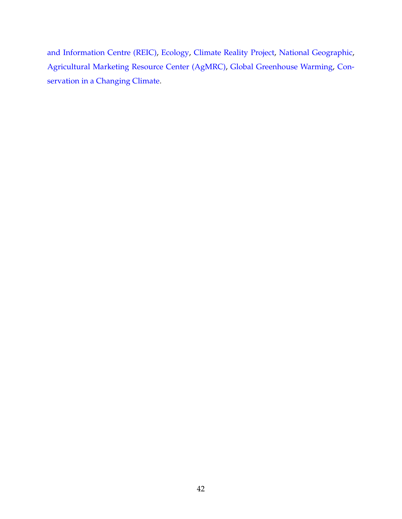[and Information Centre \(REIC\),](http://www.reic.org.ba/resources/glossary) [Ecology,](https://ecology3e.sinauer.com/glossary.html) [Climate Reality Project,](https://www.climaterealityproject.org/blog/key-terms-you-need-understand-climate-change) [National Geographic,](https://blog.education.nationalgeographic.com/2015/11/30/global-warming-glossary/) [Agricultural Marketing Resource Center \(AgMRC\),](https://www.agmrc.org/media/cms/Glossary_of_Global_Warming_and_Clim_4314FBAC16B15.pdf) [Global Greenhouse Warming,](http://www.global-greenhouse-warming.com/glossary-climate-change.html) [Con](https://climatechange.lta.org/glossary-terms/)[servation in a Changing Climate.](https://climatechange.lta.org/glossary-terms/)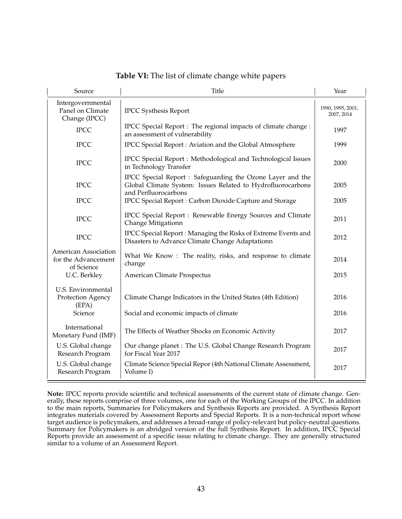<span id="page-44-0"></span>

| Source                                                    | <b>Title</b>                                                                                                                                      | Year                            |
|-----------------------------------------------------------|---------------------------------------------------------------------------------------------------------------------------------------------------|---------------------------------|
| Intergovernmental<br>Panel on Climate<br>Change (IPCC)    | <b>IPCC Systhesis Report</b>                                                                                                                      | 1990, 1995, 2001,<br>2007, 2014 |
| <b>IPCC</b>                                               | IPCC Special Report : The regional impacts of climate change :<br>an assessment of vulnerability                                                  | 1997                            |
| <b>IPCC</b>                                               | IPCC Special Report: Aviation and the Global Atmosphere                                                                                           | 1999                            |
| <b>IPCC</b>                                               | IPCC Special Report : Methodological and Technological Issues<br>in Technology Transfer                                                           | 2000                            |
| <b>IPCC</b>                                               | IPCC Special Report : Safeguarding the Ozone Layer and the<br>Global Climate System: Issues Related to Hydrofluorocarbons<br>and Perfluorocarbons | 2005                            |
| <b>IPCC</b>                                               | IPCC Special Report: Carbon Dioxide Capture and Storage                                                                                           | 2005                            |
| <b>IPCC</b>                                               | IPCC Special Report : Renewable Energy Sources and Climate<br>Change Mitigationn                                                                  | 2011                            |
| <b>IPCC</b>                                               | IPCC Special Report: Managing the Risks of Extreme Events and<br>Disasters to Advance Climate Change Adaptationn                                  | 2012                            |
| American Association<br>for the Advancement<br>of Science | What We Know: The reality, risks, and response to climate<br>change                                                                               | 2014                            |
| U.C. Berkley                                              | American Climate Prospectus                                                                                                                       | 2015                            |
| U.S. Environmental<br>Protection Agency<br>(EPA)          | Climate Change Indicators in the United States (4th Edition)                                                                                      | 2016                            |
| Science                                                   | Social and economic impacts of climate                                                                                                            | 2016                            |
| International<br>Monetary Fund (IMF)                      | The Effects of Weather Shocks on Economic Activity                                                                                                | 2017                            |
| U.S. Global change<br>Research Program                    | Our change planet : The U.S. Global Change Research Program<br>for Fiscal Year 2017                                                               | 2017                            |
| U.S. Global change<br>Research Program                    | Climate Science Special Repor (4th National Climate Assessment,<br>Volume I)                                                                      | 2017                            |

**Table VI:** The list of climate change white papers

**Note:** IPCC reports provide scientific and technical assessments of the current state of climate change. Generally, these reports comprise of three volumes, one for each of the Working Groups of the IPCC. In addition to the main reports, Summaries for Policymakers and Synthesis Reports are provided. A Synthesis Report integrates materials covered by Assessment Reports and Special Reports. It is a non-technical report whose target audience is policymakers, and addresses a broad-range of policy-relevant but policy-neutral questions. Summary for Policymakers is an abridged version of the full Synthesis Report. In addition, IPCC Special Reports provide an assessment of a specific issue relating to climate change. They are generally structured similar to a volume of an Assessment Report.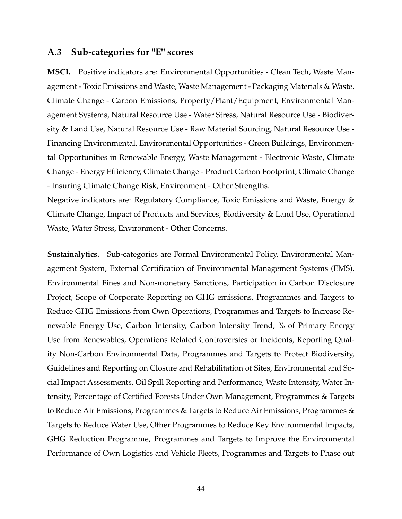## <span id="page-45-0"></span>**A.3 Sub-categories for "E" scores**

**MSCI.** Positive indicators are: Environmental Opportunities - Clean Tech, Waste Management - Toxic Emissions and Waste, Waste Management - Packaging Materials & Waste, Climate Change - Carbon Emissions, Property/Plant/Equipment, Environmental Management Systems, Natural Resource Use - Water Stress, Natural Resource Use - Biodiversity & Land Use, Natural Resource Use - Raw Material Sourcing, Natural Resource Use - Financing Environmental, Environmental Opportunities - Green Buildings, Environmental Opportunities in Renewable Energy, Waste Management - Electronic Waste, Climate Change - Energy Efficiency, Climate Change - Product Carbon Footprint, Climate Change - Insuring Climate Change Risk, Environment - Other Strengths.

Negative indicators are: Regulatory Compliance, Toxic Emissions and Waste, Energy & Climate Change, Impact of Products and Services, Biodiversity & Land Use, Operational Waste, Water Stress, Environment - Other Concerns.

**Sustainalytics.** Sub-categories are Formal Environmental Policy, Environmental Management System, External Certification of Environmental Management Systems (EMS), Environmental Fines and Non-monetary Sanctions, Participation in Carbon Disclosure Project, Scope of Corporate Reporting on GHG emissions, Programmes and Targets to Reduce GHG Emissions from Own Operations, Programmes and Targets to Increase Renewable Energy Use, Carbon Intensity, Carbon Intensity Trend, % of Primary Energy Use from Renewables, Operations Related Controversies or Incidents, Reporting Quality Non-Carbon Environmental Data, Programmes and Targets to Protect Biodiversity, Guidelines and Reporting on Closure and Rehabilitation of Sites, Environmental and Social Impact Assessments, Oil Spill Reporting and Performance, Waste Intensity, Water Intensity, Percentage of Certified Forests Under Own Management, Programmes & Targets to Reduce Air Emissions, Programmes & Targets to Reduce Air Emissions, Programmes & Targets to Reduce Water Use, Other Programmes to Reduce Key Environmental Impacts, GHG Reduction Programme, Programmes and Targets to Improve the Environmental Performance of Own Logistics and Vehicle Fleets, Programmes and Targets to Phase out